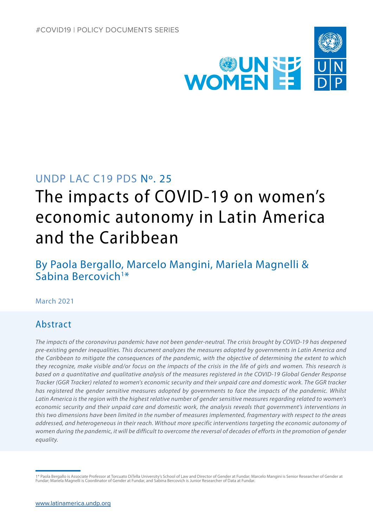

# UNDP LAC C19 PDS No. 25

# The impacts of COVID-19 on women's economic autonomy in Latin America and the Caribbean

By Paola Bergallo, Marcelo Mangini, Mariela Magnelli & Sabina Bercovich<sup>1\*</sup>

# March 2021

# Abstract

*The impacts of the coronavirus pandemic have not been gender-neutral. The crisis brought by COVID-19 has deepened pre-existing gender inequalities. This document analyzes the measures adopted by governments in Latin America and the Caribbean to mitigate the consequences of the pandemic, with the objective of determining the extent to which they recognize, make visible and/or focus on the impacts of the crisis in the life of girls and women. This research is based on a quantitative and qualitative analysis of the measures registered in the COVID-19 Global Gender Response Tracker (GGR Tracker) related to women's economic security and their unpaid care and domestic work. The GGR tracker has registered the gender sensitive measures adopted by governments to face the impacts of the pandemic. Whilst*  Latin America is the region with the highest relative number of gender sensitive measures regarding related to women's *economic security and their unpaid care and domestic work, the analysis reveals that government's interventions in this two dimensions have been limited in the number of measures implemented, fragmentary with respect to the areas addressed, and heterogeneous in their reach. Without more specific interventions targeting the economic autonomy of women during the pandemic, it will be difficult to overcome the reversal of decades of efforts in the promotion of gender equality.*

<sup>1\*</sup> Paola Bergallo is Associate Professor at Torcuato DiTella University's School of Law and Director of Gender at Fundar; Marcelo Mangini is Senior Researcher of Gender at Fundar; Mariela Magnelli is Coordinator of Gender at Fundar, and Sabina Bercovich is Junior Researcher of Data at Fundar.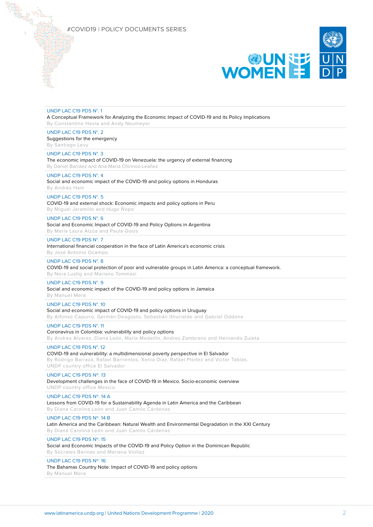

| UNDP LAC C19 PDS N°.1<br>A Conceptual Framework for Analyzing the Economic Impact of COVID-19 and its Policy Implications<br>By Constantino Hevia and Andy Neumeyer                                                                     |
|-----------------------------------------------------------------------------------------------------------------------------------------------------------------------------------------------------------------------------------------|
| UNDP LAC C19 PDS N°. 2<br>Suggestions for the emergency<br>By Santiago Levy                                                                                                                                                             |
| UNDP LAC C19 PDS N°. 3<br>The economic impact of COVID-19 on Venezuela: the urgency of external financing<br>By Daniel Barráez and Ana María Chirinos-Leañez                                                                            |
| UNDP LAC C19 PDS N°. 4<br>Social and economic impact of the COVID-19 and policy options in Honduras<br>By Andrés Ham                                                                                                                    |
| UNDP LAC C19 PDS N°. 5<br>COVID-19 and external shock: Economic impacts and policy options in Peru<br>By Miguel Jaramillo and Hugo Nopo                                                                                                 |
| UNDP LAC C19 PDS N°. 6<br>Social and Economic Impact of COVID-19 and Policy Options in Argentina<br>By María Laura Alzúa and Paula Gosis                                                                                                |
| UNDP LAC C19 PDS N°. 7<br>International financial cooperation in the face of Latin America's economic crisis<br>By José Antonio Ocampo                                                                                                  |
| UNDP LAC C19 PDS N°. 8<br>COVID-19 and social protection of poor and vulnerable groups in Latin America: a conceptual framework.<br>By Nora Lustig and Mariano Tommasi                                                                  |
| UNDP LAC C19 PDS N°. 9<br>Social and economic impact of the COVID-19 and policy options in Jamaica<br>By Manuel Mera                                                                                                                    |
| UNDP LAC C19 PDS N°. 10<br>Social and economic impact of COVID-19 and policy options in Uruguay<br>By Alfonso Capurro, Germán Deagosto, Sebastián Ithurralde and Gabriel Oddone                                                         |
| UNDP LAC C19 PDS N°. 11<br>Coronavirus in Colombia: vulnerability and policy options<br>By Andres Alvarez, Diana León, María Medellín, Andres Zambrano and Hernando Zuleta                                                              |
| UNDP LAC C19 PDS N°. 12<br>COVID-19 and vulnerability: a multidimensional poverty perspective in El Salvador<br>By Rodrigo Barraza, Rafael Barrientos, Xenia Díaz, Rafael Pleitez and Víctor Tablas.<br>UNDP country office El Salvador |
| UNDP LAC C19 PDS Nº. 13<br>Development challenges in the face of COVID-19 in Mexico. Socio-economic overview<br>UNDP country office Mexico                                                                                              |
| UNDP LAC C19 PDS Nº. 14 A<br>Lessons from COVID-19 for a Sustainability Agenda in Latin America and the Caribbean<br>By Diana Carolina León and Juan Camilo Cárdenas                                                                    |
| UNDP LAC C19 PDS Nº. 14 B<br>Latin America and the Caribbean: Natural Wealth and Environmental Degradation in the XXI Century<br>By Diana Carolina León and Juan Camilo Cárdenas                                                        |
| UNDP LAC C19 PDS Nº. 15<br>Social and Economic Impacts of the COVID-19 and Policy Option in the Dominican Republic<br>By Sócrates Barinas and Mariana Viollaz                                                                           |
| UNDP LAC C19 PDS Nº. 16<br>The Bahamas Country Note: Impact of COVID-19 and policy options                                                                                                                                              |

By Manuel Mera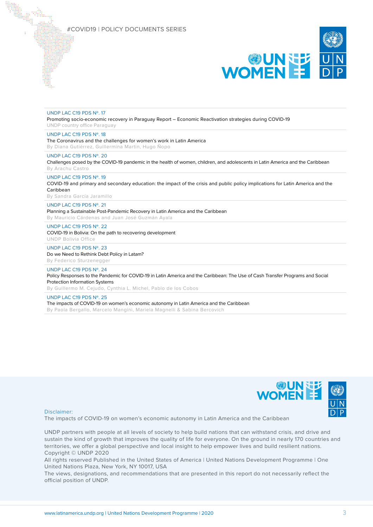

#### UNDP LAC C19 PDS Nº. 17

Promoting socio-economic recovery in Paraguay Report – Economic Reactivation strategies during COVID-19 UNDP country office Paraguay

### UNDP LAC C19 PDS Nº. 18

The Coronavirus and the challenges for women's work in Latin America By Diana Gutiérrez, Guillermina Martin, Hugo Ñopo

#### UNDP LAC C19 PDS Nº. 20

Challenges posed by the COVID-19 pandemic in the health of women, children, and adolescents in Latin America and the Caribbean By Arachu Castro

#### UNDP LAC C19 PDS Nº. 19

COVID-19 and primary and secondary education: the impact of the crisis and public policy implications for Latin America and the Caribbean

By Sandra García Jaramillo

#### UNDP LAC C19 PDS Nº. 21

Planning a Sustainable Post-Pandemic Recovery in Latin America and the Caribbean

By Mauricio Cárdenas and Juan José Guzmán Ayala

### UNDP LAC C19 PDS Nº. 22

COVID-19 in Bolivia: On the path to recovering development UNDP Bolivia Office

#### UNDP LAC C19 PDS Nº. 23

Do we Need to Rethink Debt Policy in Latam? By Federico Sturzenegger

#### UNDP LAC C19 PDS Nº. 24

Policy Responses to the Pandemic for COVID-19 in Latin America and the Caribbean: The Use of Cash Transfer Programs and Social Protection Information Systems

By Guillermo M. Cejudo, Cynthia L. Michel, Pablo de los Cobos

#### UNDP LAC C19 PDS Nº. 25

The impacts of COVID-19 on women's economic autonomy in Latin America and the Caribbean By Paola Bergallo, Marcelo Mangini, Mariela Magnelli & Sabina Bercovich



#### Disclaimer:

The impacts of COVID-19 on women's economic autonomy in Latin America and the Caribbean

UNDP partners with people at all levels of society to help build nations that can withstand crisis, and drive and sustain the kind of growth that improves the quality of life for everyone. On the ground in nearly 170 countries and territories, we offer a global perspective and local insight to help empower lives and build resilient nations. Copyright © UNDP 2020

All rights reserved Published in the United States of America | United Nations Development Programme | One United Nations Plaza, New York, NY 10017, USA

The views, designations, and recommendations that are presented in this report do not necessarily reflect the official position of UNDP.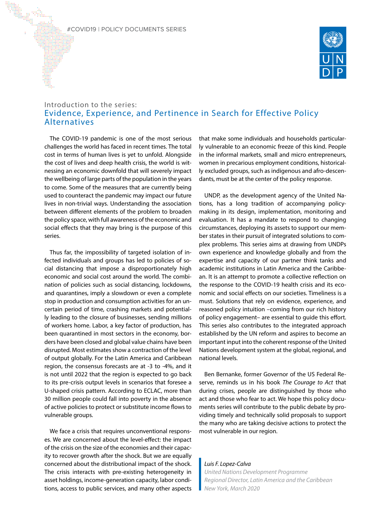

# Introduction to the series: Evidence, Experience, and Pertinence in Search for Effective Policy Alternatives

The COVID-19 pandemic is one of the most serious challenges the world has faced in recent times. The total cost in terms of human lives is yet to unfold. Alongside the cost of lives and deep health crisis, the world is witnessing an economic downfold that will severely impact the wellbeing of large parts of the population in the years to come. Some of the measures that are currently being used to counteract the pandemic may impact our future lives in non-trivial ways. Understanding the association between different elements of the problem to broaden the policy space, with full awareness of the economic and social effects that they may bring is the purpose of this series.

Thus far, the impossibility of targeted isolation of infected individuals and groups has led to policies of social distancing that impose a disproportionately high economic and social cost around the world. The combination of policies such as social distancing, lockdowns, and quarantines, imply a slowdown or even a complete stop in production and consumption activities for an uncertain period of time, crashing markets and potentially leading to the closure of businesses, sending millions of workers home. Labor, a key factor of production, has been quarantined in most sectors in the economy, borders have been closed and global value chains have been disrupted. Most estimates show a contraction of the level of output globally. For the Latin America and Caribbean region, the consensus forecasts are at -3 to -4%, and it is not until 2022 that the region is expected to go back to its pre-crisis output levels in scenarios that foresee a U-shaped crisis pattern. According to ECLAC, more than 30 million people could fall into poverty in the absence of active policies to protect or substitute income flows to vulnerable groups.

We face a crisis that requires unconventional responses. We are concerned about the level-effect: the impact of the crisis on the size of the economies and their capacity to recover growth after the shock. But we are equally concerned about the distributional impact of the shock. The crisis interacts with pre-existing heterogeneity in asset holdings, income-generation capacity, labor conditions, access to public services, and many other aspects that make some individuals and households particularly vulnerable to an economic freeze of this kind. People in the informal markets, small and micro entrepreneurs, women in precarious employment conditions, historically excluded groups, such as indigenous and afro-descendants, must be at the center of the policy response.

UNDP, as the development agency of the United Nations, has a long tradition of accompanying policymaking in its design, implementation, monitoring and evaluation. It has a mandate to respond to changing circumstances, deploying its assets to support our member states in their pursuit of integrated solutions to complex problems. This series aims at drawing from UNDPs own experience and knowledge globally and from the expertise and capacity of our partner think tanks and academic institutions in Latin America and the Caribbean. It is an attempt to promote a collective reflection on the response to the COVID-19 health crisis and its economic and social effects on our societies. Timeliness is a must. Solutions that rely on evidence, experience, and reasoned policy intuition –coming from our rich history of policy engagement– are essential to guide this effort. This series also contributes to the integrated approach established by the UN reform and aspires to become an important input into the coherent response of the United Nations development system at the global, regional, and national levels.

Ben Bernanke, former Governor of the US Federal Reserve, reminds us in his book *The Courage to Act* that during crises, people are distinguished by those who act and those who fear to act. We hope this policy documents series will contribute to the public debate by providing timely and technically solid proposals to support the many who are taking decisive actions to protect the most vulnerable in our region.

### *Luis F. Lopez-Calva*

*United Nations Development Programme Regional Director, Latin America and the Caribbean New York, March 2020*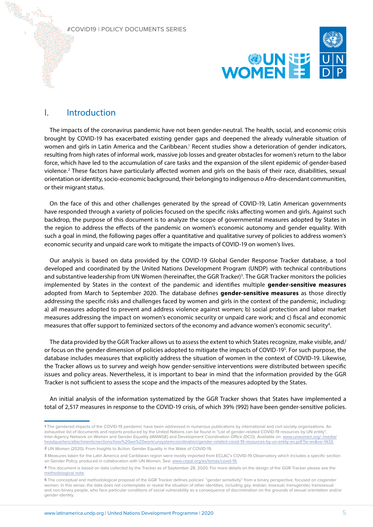

# I. Introduction

The impacts of the coronavirus pandemic have not been gender-neutral. The health, social, and economic crisis brought by COVID-19 has exacerbated existing gender gaps and deepened the already vulnerable situation of women and girls in Latin America and the Caribbean.<sup>1</sup> Recent studies show a deterioration of gender indicators, resulting from high rates of informal work, massive job losses and greater obstacles for women's return to the labor force, which have led to the accumulation of care tasks and the expansion of the silent epidemic of gender-based violence.<sup>2</sup> These factors have particularly affected women and girls on the basis of their race, disabilities, sexual orientation or identity, socio-economic background, their belonging to indigenous o Afro-descendant communities, or their migrant status.

On the face of this and other challenges generated by the spread of COVID-19, Latin American governments have responded through a variety of policies focused on the specific risks affecting women and girls. Against such backdrop, the purpose of this document is to analyze the scope of governmental measures adopted by States in the region to address the effects of the pandemic on women's economic autonomy and gender equality. With such a goal in mind, the following pages offer a quantitative and qualitative survey of policies to address women's economic security and unpaid care work to mitigate the impacts of COVID-19 on women's lives.

Our analysis is based on data provided by the COVID-19 Global Gender Response Tracker database, a tool developed and coordinated by the United Nations Development Program (UNDP) with technical contributions and substantive leadership from UN Women (hereinafter, the GGR Tracker)<sup>3</sup>. The GGR Tracker monitors the policies implemented by States in the context of the pandemic and identifies multiple **gender-sensitive measures** adopted from March to September 2020. The database defines **gender-sensitive measures** as those directly addressing the specific risks and challenges faced by women and girls in the context of the pandemic, including: a) all measures adopted to prevent and address violence against women; b) social protection and labor market measures addressing the impact on women's economic security or unpaid care work; and c) fiscal and economic measures that offer support to feminized sectors of the economy and advance women's economic security<sup>4</sup>.

The data provided by the GGR Tracker allows us to assess the extent to which States recognize, make visible, and/ or focus on the gender dimension of policies adopted to mitigate the impacts of COVID-19<sup>5</sup>. For such purpose, the database includes measures that explicitly address the situation of women in the context of COVID-19. Likewise, the Tracker allows us to survey and weigh how gender-sensitive interventions were distributed between specific issues and policy areas. Nevertheless, it is important to bear in mind that the information provided by the GGR Tracker is not sufficient to assess the scope and the impacts of the measures adopted by the States.

An initial analysis of the information systematized by the GGR Tracker shows that States have implemented a total of 2,517 measures in response to the COVID-19 crisis, of which 39% (992) have been gender-sensitive policies.

**<sup>1</sup>** The gendered impacts of the COVID-19 pandemic have been addressed in numerous publications by international and civil society organizations. An exhaustive list of documents and reports produced by the United Nations can be found in "List of gender-related COVID-19 resources by UN entity", Inter-Agency Network on Women and Gender Equality (IANWGE) and Development Coordination Office (DCO). Available on: [www.unwomen.org/-/media/](https://www.unwomen.org/-/media/headquarters/attachments/sections/how%20we%20work/unsystemcoordination/gender-related-covid-19-resources-by-un-entity-en.pdf?la=en&vs=1433) [headquarters/attachments/sections/how%20we%20work/unsystemcoordination/gender-related-covid-19-resources-by-un-entity-en.pdf?la=en&vs=1433](https://www.unwomen.org/-/media/headquarters/attachments/sections/how%20we%20work/unsystemcoordination/gender-related-covid-19-resources-by-un-entity-en.pdf?la=en&vs=1433).

**<sup>2</sup>** UN Women (2020). From Insights to Action: Gender Equality in the Wake of COVID-19.

**<sup>3</sup>** Measures taken for the Latin America and Caribbean region were mostly imported from ECLAC's COVID-19 Observatory which includes a specific section on Gender Policy, produced in collaboration with UN Women. See: [www.cepal.org/es/temas/covid-19](https://www.cepal.org/es/temas/covid-19).

**<sup>4</sup>** This document is based on data collected by the Tracker as of September 28, 2020. For more details on the design of the GGR Tracker please see the [methodological note.](https://data.undp.org/wp-content/uploads/2020/09/COVID-19_Global_Gender_Response_Tracker_Methodological_Note_20092020.pdf)

**<sup>5</sup>** The conceptual and methodological proposal of the GGR Tracker defines policies' "gender sensitivity" from a binary perspective, focused on cisgender women. In this sense, the data does not contemplate or reveal the situation of other identities, including gay, lesbian, bisexual, transgender, transsexual and non-binary people, who face particular conditions of social vulnerability as a consequence of discrimination on the grounds of sexual orientation and/or gender identity.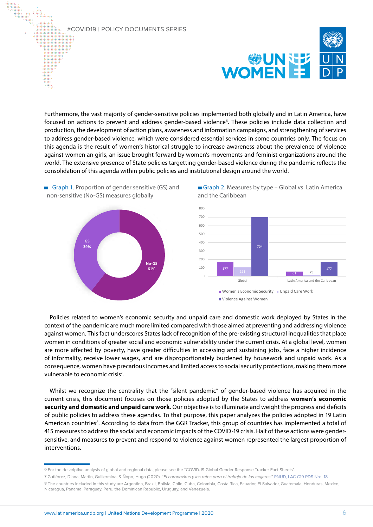

Furthermore, the vast majority of gender-sensitive policies implemented both globally and in Latin America, have focused on actions to prevent and address gender-based violence<sup>6</sup>. These policies include data collection and production, the development of action plans, awareness and information campaigns, and strengthening of services to address gender-based violence, which were considered essential services in some countries only. The focus on this agenda is the result of women's historical struggle to increase awareness about the prevalence of violence against women an girls, an issue brought forward by women's movements and feminist organizations around the world. The extensive presence of State policies targetting gender-based violence during the pandemic reflects the consolidation of this agenda within public policies and institutional design around the world.



Graph 1. Proportion of gender sensitive (GS) and non-sensitive (No-GS) measures globally





Policies related to women's economic security and unpaid care and domestic work deployed by States in the context of the pandemic are much more limited compared with those aimed at preventing and addressing violence against women. This fact underscores States lack of recognition of the pre-existing structural inequalities that place women in conditions of greater social and economic vulnerability under the current crisis. At a global level, women are more affected by poverty, have greater difficulties in accessing and sustaining jobs, face a higher incidence of informality, receive lower wages, and are disproportionately burdened by housework and unpaid work. As a consequence, women have precarious incomes and limited access to social security protections, making them more vulnerable to economic crisis<sup>7</sup>.

Whilst we recognize the centrality that the "silent pandemic" of gender-based violence has acquired in the current crisis, this document focuses on those policies adopted by the States to address **women's economic security and domestic and unpaid care work**. Our objective is to illuminate and weight the progress and deficits of public policies to address these agendas. To that purpose, this paper analyzes the policies adopted in 19 Latin American countries<sup>8</sup>. According to data from the GGR Tracker, this group of countries has implemented a total of 415 measures to address the social and economic impacts of the COVID-19 crisis. Half of these actions were gendersensitive, and measures to prevent and respond to violence against women represented the largest proportion of interventions.

**<sup>6</sup>** For the descriptive analysis of global and regional data, please see the "COVID-19 Global Gender Response Tracker Fact Sheets".

**<sup>7</sup>** Gutiérrez, Diana; Martin, Guillermina; & Ñopo, Hugo (2020). "El coronavirus y los retos para el trabajo de las mujeres." [PNUD, LAC C19 PDS Nro. 18](https://www.latinamerica.undp.org/content/rblac/en/home/library/crisis_prevention_and_recovery/el-coronavirus-y-los-retos-para-el-trabajo-de-las-mujeres-en-ame.html).

**<sup>8</sup>** The countries included in this study are Argentina, Brazil, Bolivia, Chile, Cuba, Colombia, Costa Rica, Ecuador, El Salvador, Guatemala, Honduras, Mexico, Nicaragua, Panama, Paraguay, Peru, the Dominican Republic, Uruguay, and Venezuela.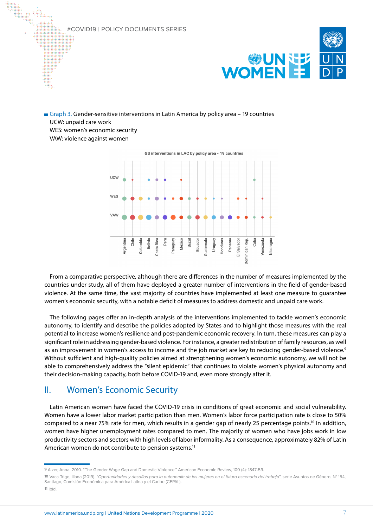

Graph 3. Gender-sensitive interventions in Latin America by policy area – 19 countries UCW: unpaid care work WES: women's economic security

VAW: violence against women



GS interventions in LAC by policy area - 19 countries

From a comparative perspective, although there are differences in the number of measures implemented by the countries under study, all of them have deployed a greater number of interventions in the field of gender-based violence. At the same time, the vast majority of countries have implemented at least one measure to guarantee women's economic security, with a notable deficit of measures to address domestic and unpaid care work.

The following pages offer an in-depth analysis of the interventions implemented to tackle women's economic autonomy, to identify and describe the policies adopted by States and to highlight those measures with the real potential to increase women's resilience and post-pandemic economic recovery. In turn, these measures can play a significant role in addressing gender-based violence. For instance, a greater redistribution of family resources, as well as an improvement in women's access to income and the job market are key to reducing gender-based violence.<sup>9</sup> Without sufficient and high-quality policies aimed at strengthening women's economic autonomy, we will not be able to comprehensively address the "silent epidemic" that continues to violate women's physical autonomy and their decision-making capacity, both before COVID-19 and, even more strongly after it.

# II. Women's Economic Security

Latin American women have faced the COVID-19 crisis in conditions of great economic and social vulnerability. Women have a lower labor market participation than men. Women's labor force participation rate is close to 50% compared to a near 75% rate for men, which results in a gender gap of nearly 25 percentage points.<sup>10</sup> In addition, women have higher unemployment rates compared to men. The majority of women who have jobs work in low productivity sectors and sectors with high levels of labor informality. As a consequence, approximately 82% of Latin American women do not contribute to pension systems.<sup>11</sup>

**<sup>9</sup>** Aizer, Anna. 2010. "The Gender Wage Gap and Domestic Violence." American Economic Review, 100 (4): 1847-59.

**<sup>10</sup>** Vaca Trigo, Iliana (2019). "Oportunidades y desafíos para la autonomía de las mujeres en el futuro escenario del trabajo", serie Asuntos de Género, N° 154, Santiago, Comisión Económica para América Latina y el Caribe (CEPAL). **11** Ibid.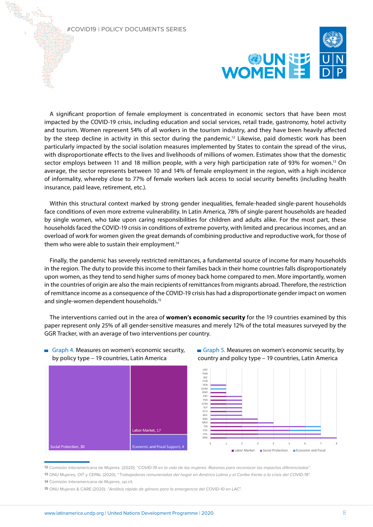

A significant proportion of female employment is concentrated in economic sectors that have been most impacted by the COVID-19 crisis, including education and social services, retail trade, gastronomy, hotel activity and tourism. Women represent 54% of all workers in the tourism industry, and they have been heavily affected by the steep decline in activity in this sector during the pandemic.12 Likewise, paid domestic work has been particularly impacted by the social isolation measures implemented by States to contain the spread of the virus, with disproportionate effects to the lives and livelihoods of millions of women. Estimates show that the domestic sector employs between 11 and 18 million people, with a very high participation rate of 93% for women.<sup>13</sup> On average, the sector represents between 10 and 14% of female employment in the region, with a high incidence of informality, whereby close to 77% of female workers lack access to social security benefits (including health insurance, paid leave, retirement, etc.).

Within this structural context marked by strong gender inequalities, female-headed single-parent households face conditions of even more extreme vulnerability. In Latin America, 78% of single-parent households are headed by single women, who take upon caring responsibilities for children and adults alike. For the most part, these households faced the COVID-19 crisis in conditions of extreme poverty, with limited and precarious incomes, and an overload of work for women given the great demands of combining productive and reproductive work, for those of them who were able to sustain their employment.<sup>14</sup>

Finally, the pandemic has severely restricted remittances, a fundamental source of income for many households in the region. The duty to provide this income to their families back in their home countries falls disproportionately upon women, as they tend to send higher sums of money back home compared to men. More importantly, women in the countries of origin are also the main recipients of remittances from migrants abroad. Therefore, the restriction of remittance income as a consequence of the COVID-19 crisis has had a disproportionate gender impact on women and single-women dependent households.15

The interventions carried out in the area of **women's economic security** for the 19 countries examined by this paper represent only 25% of all gender-sensitive measures and merely 12% of the total measures surveyed by the GGR Tracker, with an average of two interventions per country.



# Graph 4. Measures on women's economic security, by policy type – 19 countries, Latin America



0 1 2 3 4 5 6 7 8 9

Labor Market Social Protection Economic and Fiscal

Graph 5. Measures on women's economic security, by country and policy type - 19 countries, Latin America

**12** Comisión Interamericana de Mujeres. (2020). "COVID-19 en la vida de las mujeres: Razones para reconocer los impactos diferenciados".

**13** ONU Mujeres, OIT y CEPAL (2020). "Trabajadoras remuneradas del hogar en América Latina y el Caribe frente a la crisis del COVID-19". **14** Comisión Interamericana de Mujeres, op.cit.

**15** ONU Mujeres & CARE (2020). "Análisis rápido de género para la emergencia del COVID-10 en LAC".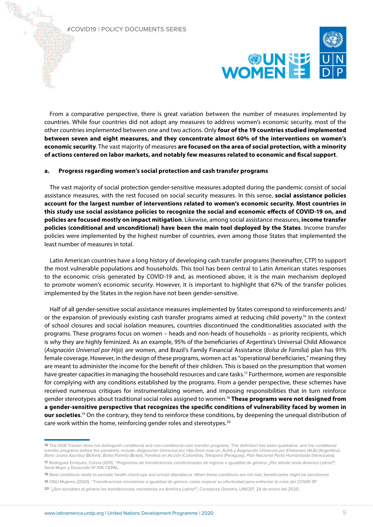

From a comparative perspective, there is great variation between the number of measures implemented by countries. While four countries did not adopt any measures to address women's economic security, most of the other countries implemented between one and two actions. Only **four of the 19 countries studied implemented between seven and eight measures, and they concentrate almost 60% of the interventions on women's economic security**. The vast majority of measures **are focused on the area of social protection, with a minority of actions centered on labor markets, and notably few measures related to economic and fiscal support**.

### **a. Progress regarding women's social protection and cash transfer programs**

The vast majority of social protection gender-sensitive measures adopted during the pandemic consist of social assistance measures, with the rest focused on social security measures. In this sense, **social assistance policies account for the largest number of interventions related to women's economic security. Most countries in this study use social assistance policies to recognize the social and economic effects of COVID-19 on, and policies are focused mostly on impact mitigation**. Likewise, among social assistance measures, **income transfer policies (conditional and unconditional) have been the main tool deployed by the States**. Income transfer policies were implemented by the highest number of countries, even among those States that implemented the least number of measures in total.

Latin American countries have a long history of developing cash transfer programs (hereinafter, CTP) to support the most vulnerable populations and households. This tool has been central to Latin American states responses to the economic crisis generated by COVID-19 and, as mentioned above, it is the main mechanism deployed to promote women's economic security. However, it is important to highlight that 67% of the transfer policies implemented by the States in the region have not been gender-sensitive.

Half of all gender-sensitive social assistance measures implemented by States correspond to reinforcements and/ or the expansion of previously existing cash transfer programs aimed at reducing child poverty.<sup>16</sup> In the context of school closures and social isolation measures, countries discontinued the conditionalities associated with the programs. These programs focus on women – heads and non-heads of households – as priority recipients, which is why they are highly feminized. As an example, 95% of the beneficiaries of Argentina's Universal Child Allowance (*Asignación Universal por Hijo*) are women, and Brazil's Family Financial Assistance (*Bolsa de Familia*) plan has 91% female coverage. However, in the design of these programs, women act as "operational beneficiaries," meaning they are meant to administer the income for the benefit of their children. This is based on the presumption that women have greater capacities in managing the household resources and care tasks.<sup>17</sup> Furthermore, women are responsible for complying with any conditions established by the programs. From a gender perspective, these schemes have received numerous critiques for instrumentalizing women, and imposing responsibilities that in turn reinforce gender stereotypes about traditional social roles assigned to women.18 **These programs were not designed from a gender-sensitive perspective that recognizes the specific conditions of vulnerability faced by women in our societies**. 19 On the contrary, they tend to reinforce these conditions, by deepening the unequal distribution of care work within the home, reinforcing gender roles and stereotypes.20

**<sup>16</sup>** The GGR Tracker does not distinguish conditional and non-conditional cash transfer programs. This definition has been qualitative, and the conditional transfer programs before the pandemic include: Asignación Universal por Hijo (from now on, AUH) y Asignación Universal por Embarazo (AUE) (Argentina), Bono Juana Azurduy (Bolivia), Bolsa Familia (Brasil), Familias en Acción (Colombia), Tekoporá (Paraguay), Plan Nacional Parto Humanizado (Venezuela). **17** Rodríguez Enríquez, Corina (2011). "Programas de transferencias condicionadas de ingreso e igualdad de género: ¿Por dónde anda América Latina?",

Serie Mujer y Desarrollo N°.109, CEPAL.

**<sup>18</sup>** Most conditions relate to periodic health check-ups and school attendance. When these conditions are not met, beneficiaries might be sanctioned.

**<sup>19</sup>** ONU Mujeres (2020). "Transferencias monetarias e igualdad de género: cómo mejorar su efectividad para enfrentar la crisis del COVID-19".

**<sup>20</sup>** "¿Son sensibles al género las transferencias monetarias en América Latina?", Constanza Ginestra, UNICEF, 24 de enero del 2020.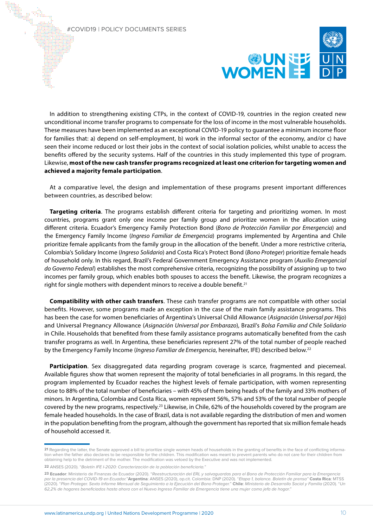

In addition to strengthening existing CTPs, in the context of COVID-19, countries in the region created new unconditional income transfer programs to compensate for the loss of income in the most vulnerable households. These measures have been implemented as an exceptional COVID-19 policy to guarantee a minimum income floor for families that: a) depend on self-employment, b) work in the informal sector of the economy, and/or c) have seen their income reduced or lost their jobs in the context of social isolation policies, whilst unable to access the benefits offered by the security systems. Half of the countries in this study implemented this type of program. Likewise, **most of the new cash transfer programs recognized at least one criterion for targeting women and achieved a majority female participation**.

At a comparative level, the design and implementation of these programs present important differences between countries, as described below:

**Targeting criteria**. The programs establish different criteria for targeting and prioritizing women. In most countries, programs grant only one income per family group and prioritize women in the allocation using different criteria. Ecuador's Emergency Family Protection Bond (*Bono de Protección Familiar por Emergencia*) and the Emergency Family Income (*Ingreso Familiar de Emergencia*) programs implemented by Argentina and Chile prioritize female applicants from the family group in the allocation of the benefit. Under a more restrictive criteria, Colombia's Solidary Income (*Ingreso Solidario*) and Costa Rica's Protect Bond (*Bono Proteger*) prioritize female heads of household only. In this regard, Brazil's Federal Government Emergency Assistance program (*Auxilio Emergencial do Governo Federal*) establishes the most comprehensive criteria, recognizing the possibility of assigning up to two incomes per family group, which enables both spouses to access the benefit. Likewise, the program recognizes a right for single mothers with dependent minors to receive a double benefit.<sup>21</sup>

**Compatibility with other cash transfers**. These cash transfer programs are not compatible with other social benefits. However, some programs made an exception in the case of the main family assistance programs. This has been the case for women beneficiaries of Argentina's Universal Child Allowance (*Asignación Universal por Hijo*) and Universal Pregnancy Allowance (*Asignación Universal por Embarazo*), Brazil's *Bolsa Familia and Chile Solidario* in Chile. Households that benefited from these family assistance programs automatically benefited from the cash transfer programs as well. In Argentina, these beneficiaries represent 27% of the total number of people reached by the Emergency Family Income (*Ingreso Familiar de Emergencia*, hereinafter, IFE) described below.22

Participation. Sex disaggregated data regarding program coverage is scarce, fragmented and piecemeal. Available figures show that women represent the majority of total beneficiaries in all programs. In this regard, the program implemented by Ecuador reaches the highest levels of female participation, with women representing close to 88% of the total number of beneficiaries – with 45% of them being heads of the family and 33% mothers of minors. In Argentina, Colombia and Costa Rica, women represent 56%, 57% and 53% of the total number of people covered by the new programs, respectively.23 Likewise, in Chile, 62% of the households covered by the program are female headed households. In the case of Brazil, data is not available regarding the distribution of men and women in the population benefiting from the program, although the government has reported that six million female heads of household accessed it.

**<sup>21</sup>** Regarding the latter, the Senate approved a bill to prioritize single women heads of households in the granting of benefits in the face of conflicting information when the father also declares to be responsible for the children. This modification was meant to prevent parents who do not care for their children from obtaining help to the detriment of the mother. The modification was vetoed by the Executive and was not implemented.

**<sup>22</sup>** ANSES (2020). "Boletín IFE I-2020: Caracterización de la población beneficiaria."

**<sup>23</sup> Ecuador**: Ministerio de Finanzas de Ecuador (2020). "Reestructuración del ERL y salvaguardas para el Bono de Protección Familiar para la Emergencia por la presencia del COVID-19 en Ecuador."**Argentina**: ANSES (2020), op.cit. Colombia: DNP (2020). "Etapa 1, balance. Boletín de prensa" **Costa Rica**: MTSS (2020). "Plan Proteger. Sexto Informe Mensual de Seguimiento a la Ejecución del Bono Proteger." **Chile**: Ministerio de Desarrollo Social y Familia (2020). "Un 62,2% de hogares beneficiados hasta ahora con el Nuevo Ingreso Familiar de Emergencia tiene una mujer como jefa de hogar."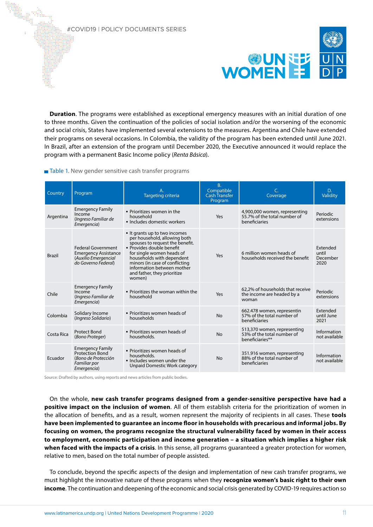

**Duration**. The programs were established as exceptional emergency measures with an initial duration of one to three months. Given the continuation of the policies of social isolation and/or the worsening of the economic and social crisis, States have implemented several extensions to the measures. Argentina and Chile have extended their programs on several occasions. In Colombia, the validity of the program has been extended until June 2021. In Brazil, after an extension of the program until December 2020, the Executive announced it would replace the program with a permanent Basic Income policy (*Renta Básica*).

Table 1. New gender sensitive cash transfer programs

| Country       | Program                                                                                                 | Targeting criteria                                                                                                                                                                                                                                                                             | B.<br>Compatible<br><b>Cash Transfer</b><br>Program | C.<br>Coverage                                                                 | D.<br>Validity                        |
|---------------|---------------------------------------------------------------------------------------------------------|------------------------------------------------------------------------------------------------------------------------------------------------------------------------------------------------------------------------------------------------------------------------------------------------|-----------------------------------------------------|--------------------------------------------------------------------------------|---------------------------------------|
| Argentina     | <b>Emergency Family</b><br>Income<br>(Ingreso Familiar de<br>Emergencia)                                | • Prioritizes women in the<br>household<br>· Includes domestic workers                                                                                                                                                                                                                         | Yes                                                 | 4,900,000 women, representing<br>55.7% of the total number of<br>beneficiaries | Periodic<br>extensions                |
| <b>Brazil</b> | <b>Federal Government</b><br><b>Emergency Assistance</b><br>(Auxilio Emergencial<br>do Governo Federal) | It grants up to two incomes<br>per household, allowing both<br>spouses to request the benefit.<br>• Provides double benefit<br>for single women heads of<br>households with dependent<br>minors (in case of conflicting<br>information between mother<br>and father, they prioritize<br>women) | Yes                                                 | 6 million women heads of<br>households received the benefit                    | Extended<br>until<br>December<br>2020 |
| Chile         | <b>Emergency Family</b><br>Income<br>(Ingreso Familiar de<br>Emergencia)                                | . Prioritizes the woman within the<br>household                                                                                                                                                                                                                                                | Yes                                                 | 62,2% of households that receive<br>the income are headed by a<br>woman        | Periodic<br>extensions                |
| Colombia      | Solidary Income<br>(Ingreso Solidario)                                                                  | • Prioritizes women heads of<br>households                                                                                                                                                                                                                                                     | <b>No</b>                                           | 662.478 women, representin<br>57% of the total number of<br>beneficiaries      | Extended<br>until June<br>2021        |
| Costa Rica    | <b>Protect Bond</b><br>(Bono Proteger)                                                                  | • Prioritizes women heads of<br>households.                                                                                                                                                                                                                                                    | <b>No</b>                                           | 513,370 women, representing<br>53% of the total number of<br>beneficiaries**   | Information<br>not available          |
| Ecuador       | <b>Emergency Family</b><br><b>Protection Bond</b><br>(Bono de Protección<br>Familiar por<br>Emergencia) | • Prioritizes women heads of<br>households.<br>. Includes women under the<br>Unpaid Domestic Work category                                                                                                                                                                                     | <b>No</b>                                           | 351.916 women, representing<br>88% of the total number of<br>beneficiaries     | Information<br>not available          |

Source: Drafted by authors, using reports and news articles from public bodies.

On the whole, **new cash transfer programs designed from a gender-sensitive perspective have had a positive impact on the inclusion of women**. All of them establish criteria for the prioritization of women in the allocation of benefits, and as a result, women represent the majority of recipients in all cases. These **tools have been implemented to guarantee an income floor in households with precarious and informal jobs. By focusing on women, the programs recognize the structural vulnerability faced by women in their access to employment, economic participation and income generation – a situation which implies a higher risk when faced with the impacts of a crisis**. In this sense, all programs guaranteed a greater protection for women, relative to men, based on the total number of people assisted.

To conclude, beyond the specific aspects of the design and implementation of new cash transfer programs, we must highlight the innovative nature of these programs when they **recognize women's basic right to their own income**. The continuation and deepening of the economic and social crisis generated by COVID-19 requires action so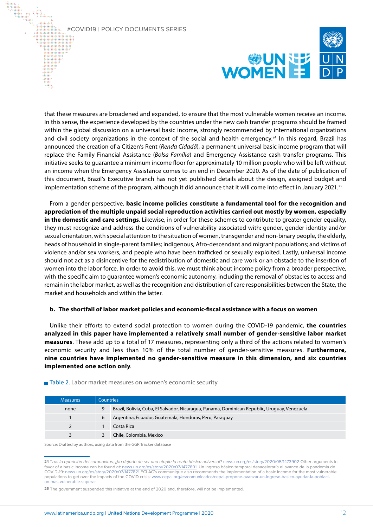

that these measures are broadened and expanded, to ensure that the most vulnerable women receive an income. In this sense, the experience developed by the countries under the new cash transfer programs should be framed within the global discussion on a universal basic income, strongly recommended by international organizations and civil society organizations in the context of the social and health emergency.<sup>24</sup> In this regard, Brazil has announced the creation of a Citizen's Rent (*Renda Cidadã*), a permanent universal basic income program that will replace the Family Financial Assistance (*Bolsa Família*) and Emergency Assistance cash transfer programs. This initiative seeks to guarantee a minimum income floor for approximately 10 million people who will be left without an income when the Emergency Assistance comes to an end in December 2020. As of the date of publication of this document, Brazil's Executive branch has not yet published details about the design, assigned budget and implementation scheme of the program, although it did announce that it will come into effect in January 2021.<sup>25</sup>

From a gender perspective, **basic income policies constitute a fundamental tool for the recognition and appreciation of the multiple unpaid social reproduction activities carried out mostly by women, especially in the domestic and care settings**. Likewise, in order for these schemes to contribute to greater gender equality, they must recognize and address the conditions of vulnerability associated with: gender, gender identity and/or sexual orientation, with special attention to the situation of women, transgender and non-binary people, the elderly, heads of household in single-parent families; indigenous, Afro-descendant and migrant populations; and victims of violence and/or sex workers, and people who have been trafficked or sexually exploited. Lastly, universal income should not act as a disincentive for the redistribution of domestic and care work or an obstacle to the insertion of women into the labor force. In order to avoid this, we must think about income policy from a broader perspective, with the specific aim to guarantee women's economic autonomy, including the removal of obstacles to access and remain in the labor market, as well as the recognition and distribution of care responsibilities between the State, the market and households and within the latter.

# **b. The shortfall of labor market policies and economic-fiscal assistance with a focus on women**

Unlike their efforts to extend social protection to women during the COVID-19 pandemic, **the countries analyzed in this paper have implemented a relatively small number of gender-sensitive labor market measures**. These add up to a total of 17 measures, representing only a third of the actions related to women's economic security and less than 10% of the total number of gender-sensitive measures. **Furthermore, nine countries have implemented no gender-sensitive measure in this dimension, and six countries implemented one action only**.

### ■ Table 2. Labor market measures on women's economic security

| <b>Measures</b> | Countries |                                                                                               |  |
|-----------------|-----------|-----------------------------------------------------------------------------------------------|--|
| none            | 9         | Brazil, Bolivia, Cuba, El Salvador, Nicaragua, Panama, Dominican Republic, Uruguay, Venezuela |  |
|                 | 6         | Argentina, Ecuador, Guatemala, Honduras, Peru, Paraguay                                       |  |
| $\overline{2}$  |           | Costa Rica                                                                                    |  |
| 3               |           | Chile, Colombia, Mexico                                                                       |  |

Source: Drafted by authors, using data from the GGR Tracker database

**<sup>24</sup>** Tras la aparición del coronavirus, ¿ha dejado de ser una utopía la renta básica universal? [news.un.org/es/story/2020/05/1473902](https://news.un.org/es/story/2020/05/1473902) Other arguments in favor of a basic income can be found at: [news.un.org/es/story/2020/07/1477601.](https://news.un.org/es/story/2020/07/1477601) Un ingreso básico temporal desaceleraría el avance de la pandemia de COVID-19: [news.un.org/es/story/2020/07/1477821](https://news.un.org/es/story/2020/07/1477821) ECLAC's communique also recommends the implementation of a basic income for the most vulnerable populations to get over the impacts of the COVID crisis: [www.cepal.org/es/comunicados/cepal-propone-avanzar-un-ingreso-basico-ayudar-la-poblaci](https://www.cepal.org/es/comunicados/cepal-propone-avanzar-un-ingreso-basico-ayudar-la-poblacion-mas-vulnerable-superar)[on-mas-vulnerable-superar](https://www.cepal.org/es/comunicados/cepal-propone-avanzar-un-ingreso-basico-ayudar-la-poblacion-mas-vulnerable-superar)

<sup>25</sup> The government suspended this initiative at the end of 2020 and, therefore, will not be implemented.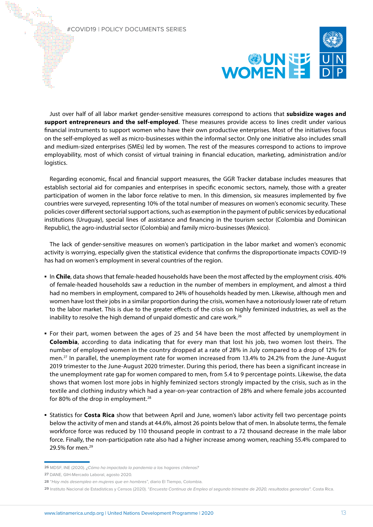

Just over half of all labor market gender-sensitive measures correspond to actions that **subsidize wages and support entrepreneurs and the self-employed**. These measures provide access to lines credit under various financial instruments to support women who have their own productive enterprises. Most of the initiatives focus on the self-employed as well as micro-businesses within the informal sector. Only one initiative also includes small and medium-sized enterprises (SMEs) led by women. The rest of the measures correspond to actions to improve employability, most of which consist of virtual training in financial education, marketing, administration and/or logistics.

Regarding economic, fiscal and financial support measures, the GGR Tracker database includes measures that establish sectorial aid for companies and enterprises in specific economic sectors, namely, those with a greater participation of women in the labor force relative to men. In this dimension, six measures implemented by five countries were surveyed, representing 10% of the total number of measures on women's economic security. These policies cover different sectorial support actions, such as exemption in the payment of public services by educational institutions (Uruguay), special lines of assistance and financing in the tourism sector (Colombia and Dominican Republic), the agro-industrial sector (Colombia) and family micro-businesses (Mexico).

The lack of gender-sensitive measures on women's participation in the labor market and women's economic activity is worrying, especially given the statistical evidence that confirms the disproportionate impacts COVID-19 has had on women's employment in several countries of the region.

- **▪** In **Chile**, data shows that female-headed households have been the most affected by the employment crisis. 40% of female-headed households saw a reduction in the number of members in employment, and almost a third had no members in employment, compared to 24% of households headed by men. Likewise, although men and women have lost their jobs in a similar proportion during the crisis, women have a notoriously lower rate of return to the labor market. This is due to the greater effects of the crisis on highly feminized industries, as well as the inability to resolve the high demand of unpaid domestic and care work.<sup>26</sup>
- **▪** For their part, women between the ages of 25 and 54 have been the most affected by unemployment in **Colombia**, according to data indicating that for every man that lost his job, two women lost theirs. The number of employed women in the country dropped at a rate of 28% in July compared to a drop of 12% for men.<sup>27</sup> In parallel, the unemployment rate for women increased from 13.4% to 24.2% from the June-August 2019 trimester to the June-August 2020 trimester. During this period, there has been a significant increase in the unemployment rate gap for women compared to men, from 5.4 to 9 percentage points. Likewise, the data shows that women lost more jobs in highly feminized sectors strongly impacted by the crisis, such as in the textile and clothing industry which had a year-on-year contraction of 28% and where female jobs accounted for 80% of the drop in employment.<sup>28</sup>
- **▪** Statistics for **Costa Rica** show that between April and June, women's labor activity fell two percentage points below the activity of men and stands at 44.6%, almost 26 points below that of men. In absolute terms, the female workforce force was reduced by 110 thousand people in contrast to a 72 thousand decrease in the male labor force. Finally, the non-participation rate also had a higher increase among women, reaching 55.4% compared to 29.5% for men.<sup>29</sup>

**<sup>26</sup>** MDSF, INE (2020). ¿Cómo ha impactado la pandemia a los hogares chilenos?

**<sup>27</sup>** DANE, GIH-Mercado Laboral, agosto 2020.

**<sup>28</sup>** "Hay más desempleo en mujeres que en hombres", diario El Tiempo, Colombia.

**<sup>29</sup>** Instituto Nacional de Estadísticas y Censos (2020). "Encuesta Continua de Empleo al segundo trimestre de 2020, resultados generales". Costa Rica.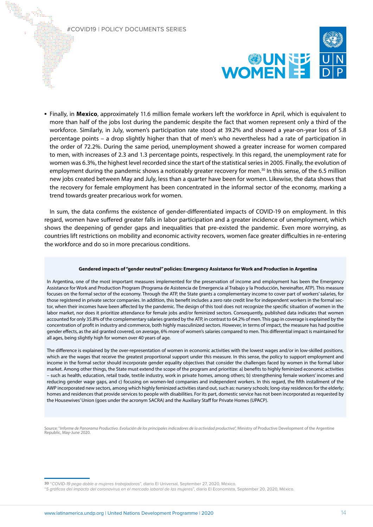

**▪** Finally, in **Mexico**, approximately 11.6 million female workers left the workforce in April, which is equivalent to more than half of the jobs lost during the pandemic despite the fact that women represent only a third of the workforce. Similarly, in July, women's participation rate stood at 39.2% and showed a year-on-year loss of 5.8 percentage points – a drop slightly higher than that of men's who nevertheless had a rate of participation in the order of 72.2%. During the same period, unemployment showed a greater increase for women compared to men, with increases of 2.3 and 1.3 percentage points, respectively. In this regard, the unemployment rate for women was 6.3%, the highest level recorded since the start of the statistical series in 2005. Finally, the evolution of employment during the pandemic shows a noticeably greater recovery for men.<sup>30</sup> In this sense, of the 6.5 million new jobs created between May and July, less than a quarter have been for women. Likewise, the data shows that the recovery for female employment has been concentrated in the informal sector of the economy, marking a trend towards greater precarious work for women.

In sum, the data confirms the existence of gender-differentiated impacts of COVID-19 on employment. In this regard, women have suffered greater falls in labor participation and a greater incidence of unemployment, which shows the deepening of gender gaps and inequalities that pre-existed the pandemic. Even more worrying, as countries lift restrictions on mobility and economic activity recovers, women face greater difficulties in re-entering the workforce and do so in more precarious conditions.

### **Gendered impacts of "gender neutral" policies: Emergency Assistance for Work and Production in Argentina**

In Argentina, one of the most important measures implemented for the preservation of income and employment has been the Emergency Assistance for Work and Production Program (Programa de Asistencia de Emergencia al Trabajo y la Producción, hereinafter, ATP). This measure focuses on the formal sector of the economy. Through the ATP, the State grants a complementary income to cover part of workers' salaries, for those registered in private sector companies. In addition, this benefit includes a zero rate credit line for independent workers in the formal sector, when their incomes have been affected by the pandemic. The design of this tool does not recognize the specific situation of women in the labor market, nor does it prioritize attendance for female jobs and/or feminized sectors. Consequently, published data indicates that women accounted for only 35.8% of the complementary salaries granted by the ATP, in contrast to 64.2% of men. This gap in coverage is explained by the concentration of profit in industry and commerce, both highly masculinized sectors. However, in terms of impact, the measure has had positive gender effects, as the aid granted covered, on average, 6% more of women's salaries compared to men. This differential impact is maintained for all ages, being slightly high for women over 40 years of age.

The difference is explained by the over-representation of women in economic activities with the lowest wages and/or in low-skilled positions, which are the wages that receive the greatest proportional support under this measure. In this sense, the policy to support employment and income in the formal sector should incorporate gender equality objectives that consider the challenges faced by women in the formal labor market. Among other things, the State must extend the scope of the program and prioritize: a) benefits to highly feminized economic activities – such as health, education, retail trade, textile industry, work in private homes, among others; b) strengthening female workers' incomes and reducing gender wage gaps, and c) focusing on women-led companies and independent workers. In this regard, the fifth installment of the AWP incorporated new sectors, among which highly feminized activities stand out, such as: nursery schools; long-stay residences for the elderly; homes and residences that provide services to people with disabilities. For its part, domestic service has not been incorporated as requested by the Housewives' Union (goes under the acronym SACRA) and the Auxiliary Staff for Private Homes (UPACP).

Source: "*Informe de Panorama Productivo. Evolución de los principales indicadores de la actividad productiva*", Ministry of Productive Development of the Argentine Republic, May-June 2020.

**30** "COVID-19 pega doble a mujeres trabajadoras", diario El Universal, September 27, 2020, México.

"5 gráficos del impacto del coronavirus en el mercado laboral de las mujeres", diario El Economista, September 20, 2020, México.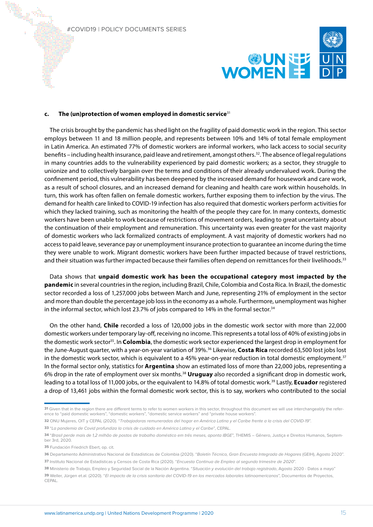

#### **c. The (un)protection of women employed in domestic service**<sup>31</sup>

The crisis brought by the pandemic has shed light on the fragility of paid domestic work in the region. This sector employs between 11 and 18 million people, and represents between 10% and 14% of total female employment in Latin America. An estimated 77% of domestic workers are informal workers, who lack access to social security benefits – including health insurance, paid leave and retirement, amongst others.32. The absence of legal regulations in many countries adds to the vulnerability experienced by paid domestic workers; as a sector, they struggle to unionize and to collectively bargain over the terms and conditions of their already undervalued work. During the confinement period, this vulnerability has been deepened by the increased demand for housework and care work, as a result of school closures, and an increased demand for cleaning and health care work within households. In turn, this work has often fallen on female domestic workers, further exposing them to infection by the virus. The demand for health care linked to COVID-19 infection has also required that domestic workers perform activities for which they lacked training, such as monitoring the health of the people they care for. In many contexts, domestic workers have been unable to work because of restrictions of movement orders, leading to great uncertainty about the continuation of their employment and remuneration. This uncertainty was even greater for the vast majority of domestic workers who lack formalized contracts of employment. A vast majority of domestic workers had no access to paid leave, severance pay or unemployment insurance protection to guarantee an income during the time they were unable to work. Migrant domestic workers have been further impacted because of travel restrictions, and their situation was further impacted because their families often depend on remittances for their livelihoods.<sup>33</sup>

Data shows that **unpaid domestic work has been the occupational category most impacted by the pandemic** in several countries in the region, including Brazil, Chile, Colombia and Costa Rica. In Brazil, the domestic sector recorded a loss of 1,257,000 jobs between March and June, representing 21% of employment in the sector and more than double the percentage job loss in the economy as a whole. Furthermore, unemployment was higher in the informal sector, which lost 23.7% of jobs compared to 14% in the formal sector.<sup>34</sup>

On the other hand, **Chile** recorded a loss of 120,000 jobs in the domestic work sector with more than 22,000 domestic workers under temporary lay-off, receiving no income. This represents a total loss of 40% of existing jobs in the domestic work sector<sup>35</sup>. In **Colombia**, the domestic work sector experienced the largest drop in employment for the June-August quarter, with a year-on-year variation of 39%.36 Likewise, **Costa Rica** recorded 63,500 lost jobs lost in the domestic work sector, which is equivalent to a 45% year-on-year reduction in total domestic employment.<sup>37</sup> In the formal sector only, statistics for **Argentina** show an estimated loss of more than 22,000 jobs, representing a 6% drop in the rate of employment over six months.38 **Uruguay** also recorded a significant drop in domestic work, leading to a total loss of 11,000 jobs, or the equivalent to 14.8% of total domestic work.39 Lastly, **Ecuador** registered a drop of 13,461 jobs within the formal domestic work sector, this is to say, workers who contributed to the social

**35** Fundación Friedrich Ebert, op. cit.

**<sup>31</sup>** Given that in the region there are different terms to refer to women workers in this sector, throughout this document we will use interchangeably the reference to "paid domestic workers", "domestic workers", "domestic service workers" and "private house workers".

**<sup>32</sup>** ONU Mujeres, OIT y CEPAL (2020). "Trabajadoras remuneradas del hogar en América Latina y el Caribe frente a la crisis del COVID-19".

**<sup>33</sup>** "La pandemia de Covid profundiza la crisis de cuidado en América Latina y el Caribe", CEPAL.

**<sup>34</sup>** "Brasil perde mais de 1,2 milhão de postos de trabalho doméstico em três meses, aponta IBGE", THEMIS – Gênero, Justiça e Direitos Humanos, September 3rd, 2020.

**<sup>36</sup>** Departamento Administrativo Nacional de Estadísticas de Colombia (2020). "Boletín Técnico, Gran Encuesta Integrada de Hogares (GEIH), Agosto 2020". **37** Instituto Nacional de Estadísticas y Censos de Costa Rica (2020). "Encuesta Continua de Empleo al segundo trimestre de 2020".

**<sup>38</sup>** Ministerio de Trabajo, Empleo y Seguridad Social de la Nación Argentina. "Situación y evolución del trabajo registrado, Agosto 2020 - Datos a mayo" **39** Weller, Jürgen et.al. (2020). "El impacto de la crisis sanitaria del COVID-19 en los mercados laborales latinoamericanos", Documentos de Proyectos, **CEPAL**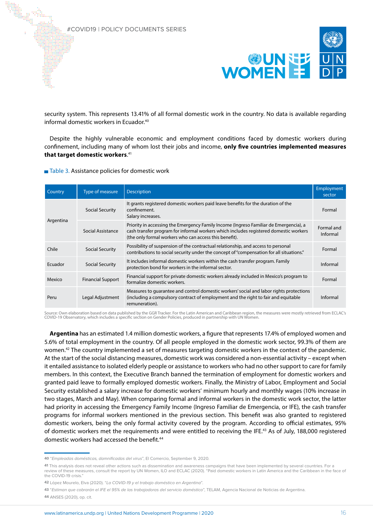

security system. This represents 13.41% of all formal domestic work in the country. No data is available regarding informal domestic workers in Ecuador.<sup>40</sup>

Despite the highly vulnerable economic and employment conditions faced by domestic workers during confinement, including many of whom lost their jobs and income, **only five countries implemented measures that target domestic workers**. 41

### ■ Table 3. Assistance policies for domestic work

| Country   | Type of measure          | <b>Description</b>                                                                                                                                                                                                                       | Employment<br>sector   |
|-----------|--------------------------|------------------------------------------------------------------------------------------------------------------------------------------------------------------------------------------------------------------------------------------|------------------------|
| Argentina | Social Security          | It grants registered domestic workers paid leave benefits for the duration of the<br>confinement.<br>Salary increases.                                                                                                                   | Formal                 |
|           | Social Assistance        | Priority in accessing the Emergency Family Income (Ingreso Familiar de Emergencia), a<br>cash transfer program for informal workers which includes registered domestic workers<br>(the only formal workers who can access this benefit). | Formal and<br>Informal |
| Chile     | Social Security          | Possibility of suspension of the contractual relationship, and access to personal<br>contributions to social security under the concept of "compensation for all situations."                                                            | Formal                 |
| Ecuador   | <b>Social Security</b>   | It includes informal domestic workers within the cash transfer program. Family<br>protection bond for workers in the informal sector.                                                                                                    | Informal               |
| Mexico    | <b>Financial Support</b> | Financial support for private domestic workers already included in Mexico's program to<br>formalize domestic workers.                                                                                                                    |                        |
| Peru      | Legal Adjustment         | Measures to guarantee and control domestic workers' social and labor rights protections<br>(including a compulsory contract of employment and the right to fair and equitable<br>remuneration).                                          | Informal               |

Source: Own elaboration based on data published by the GGR Tracker. For the Latin American and Caribbean region, the measures were mostly retrieved from ECLAC's COVID-19 Observatory, which includes a specific section on Gender Policies, produced in partnership with UN Women.

**Argentina** has an estimated 1.4 million domestic workers, a figure that represents 17.4% of employed women and 5.6% of total employment in the country. Of all people employed in the domestic work sector, 99.3% of them are women.<sup>42</sup> The country implemented a set of measures targeting domestic workers in the context of the pandemic. At the start of the social distancing measures, domestic work was considered a non-essential activity – except when it entailed assistance to isolated elderly people or assistance to workers who had no other support to care for family members. In this context, the Executive Branch banned the termination of employment for domestic workers and granted paid leave to formally employed domestic workers. Finally, the Ministry of Labor, Employment and Social Security established a salary increase for domestic workers' minimum hourly and monthly wages (10% increase in two stages, March and May). When comparing formal and informal workers in the domestic work sector, the latter had priority in accessing the Emergency Family Income (Ingreso Familiar de Emergencia, or IFE), the cash transfer programs for informal workers mentioned in the previous section. This benefit was also granted to registered domestic workers, being the only formal activity covered by the program. According to official estimates, 95% of domestic workers met the requirements and were entitled to receiving the IFE.<sup>43</sup> As of July, 188,000 registered domestic workers had accessed the benefit.<sup>44</sup>

**<sup>40</sup>** "Empleadas domésticas, damnificadas del virus", El Comercio, September 9, 2020.

**<sup>41</sup>** This analysis does not reveal other actions such as dissemination and awareness campaigns that have been implemented by several countries. For a review of these measures, consult the report by UN Women, ILO and ECLAC (2020). "Paid domestic workers in Latin America and the Caribbean in the face of the COVID-19 crisis."

**<sup>42</sup>** López Mourelo, Elva (2020). "La COVID-19 y el trabajo doméstico en Argentina".

**<sup>43</sup>** "Estiman que cobrarán el IFE el 95% de las trabajadoras del servicio doméstico", TELAM, Agencia Nacional de Noticias de Argentina. **44** ANSES (2020), op. cit.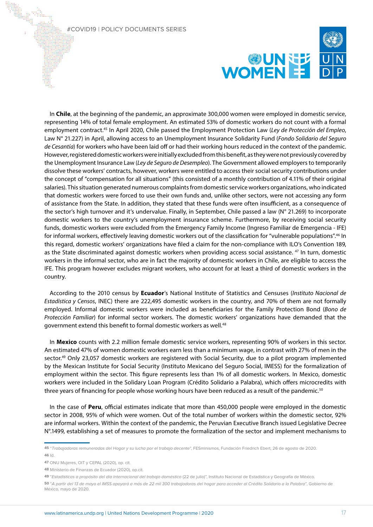

In **Chile**, at the beginning of the pandemic, an approximate 300,000 women were employed in domestic service, representing 14% of total female employment. An estimated 53% of domestic workers do not count with a formal employment contract.45 In April 2020, Chile passed the Employment Protection Law (*Ley de Protección del Empleo*, Law N° 21.227) in April, allowing access to an Unemployment Insurance Solidarity Fund (*Fondo Solidario del Seguro de Cesantía*) for workers who have been laid off or had their working hours reduced in the context of the pandemic. However, registered domestic workers were initially excluded from this benefit, as they were not previously covered by the Unemployment Insurance Law (*Ley de Seguro de Desempleo*). The Government allowed employers to temporarily dissolve these workers' contracts, however, workers were entitled to access their social security contributions under the concept of "compensation for all situations" (this consisted of a monthly contribution of 4.11% of their original salaries). This situation generated numerous complaints from domestic service workers organizations, who indicated that domestic workers were forced to use their own funds and, unlike other sectors, were not accessing any form of assistance from the State. In addition, they stated that these funds were often insufficient, as a consequence of the sector's high turnover and it's undervalue. Finally, in September, Chile passed a law (N° 21.269) to incorporate domestic workers to the country's unemployment insurance scheme. Furthermore, by receiving social security funds, domestic workers were excluded from the Emergency Family Income (Ingreso Familiar de Emergencia - IFE) for informal workers, effectively leaving domestic workers out of the classification for "vulnerable populations".<sup>46</sup> In this regard, domestic workers' organizations have filed a claim for the non-compliance with ILO's Convention 189, as the State discriminated against domestic workers when providing access social assistance. <sup>47</sup> In turn, domestic workers in the informal sector, who are in fact the majority of domestic workers in Chile, are eligible to access the IFE. This program however excludes migrant workers, who account for at least a third of domestic workers in the country.

According to the 2010 census by **Ecuador**'s National Institute of Statistics and Censuses (*Instituto Nacional de Estadística y Censos*, INEC) there are 222,495 domestic workers in the country, and 70% of them are not formally employed. Informal domestic workers were included as beneficiaries for the Family Protection Bond (*Bono de Protección Familiar*) for informal sector workers. The domestic workers' organizations have demanded that the government extend this benefit to formal domestic workers as well.48

In **Mexico** counts with 2.2 million female domestic service workers, representing 90% of workers in this sector. An estimated 47% of women domestic workers earn less than a minimum wage, in contrast with 27% of men in the sector.<sup>49</sup> Only 23,057 domestic workers are registered with Social Security, due to a pilot program implemented by the Mexican Institute for Social Security (Instituto Mexicano del Seguro Social, IMESS) for the formalization of employment within the sector. This figure represents less than 1% of all domestic workers. In Mexico, domestic workers were included in the Solidary Loan Program (Crédito Solidario a Palabra), which offers microcredits with three years of financing for people whose working hours have been reduced as a result of the pandemic.<sup>50</sup>

In the case of **Peru**, official estimates indicate that more than 450,000 people were employed in the domestic sector in 2008, 95% of which were women. Out of the total number of workers within the domestic sector, 92% are informal workers. Within the context of the pandemic, the Peruvian Executive Branch issued Legislative Decree N°.1499, establishing a set of measures to promote the formalization of the sector and implement mechanisms to

**<sup>45</sup>** "Trabajadoras remuneradas del Hogar y su lucha por el trabajo decente", FESminismos, Fundación Friedrich Ebert, 26 de agosto de 2020. **46** Id.

**<sup>47</sup>** ONU Mujeres, OIT y CEPAL (2020), op. cit.

**<sup>48</sup>** Ministerio de Finanzas de Ecuador (2020), op.cit.

**<sup>49</sup>** "Estadísticas a propósito del día internacional del trabajo doméstico (22 de julio)", Instituto Nacional de Estadística y Geografía de México.

**<sup>50</sup>** "A partir del 13 de mayo el IMSS apoyará a más de 22 mil 300 trabajadoras del hogar para acceder al Crédito Solidario a la Palabra", Gobierno de México, mayo de 2020.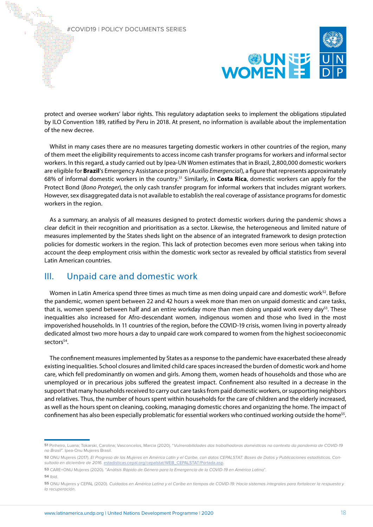

protect and oversee workers' labor rights. This regulatory adaptation seeks to implement the obligations stipulated by ILO Convention 189, ratified by Peru in 2018. At present, no information is available about the implementation of the new decree.

Whilst in many cases there are no measures targeting domestic workers in other countries of the region, many of them meet the eligibility requirements to access income cash transfer programs for workers and informal sector workers. In this regard, a study carried out by Ipea-UN Women estimates that in Brazil, 2,800,000 domestic workers are eligible for **Brazil**'s Emergency Assistance program (*Auxilio Emergencial*), a figure that represents approximately 68% of informal domestic workers in the country.51 Similarly, in **Costa Rica**, domestic workers can apply for the Protect Bond (*Bono Proteger*), the only cash transfer program for informal workers that includes migrant workers. However, sex disaggregated data is not available to establish the real coverage of assistance programs for domestic workers in the region.

As a summary, an analysis of all measures designed to protect domestic workers during the pandemic shows a clear deficit in their recognition and prioritisation as a sector. Likewise, the heterogeneous and limited nature of measures implemented by the States sheds light on the absence of an integrated framework to design protection policies for domestic workers in the region. This lack of protection becomes even more serious when taking into account the deep employment crisis within the domestic work sector as revealed by official statistics from several Latin American countries.

# III. Unpaid care and domestic work

Women in Latin America spend three times as much time as men doing unpaid care and domestic work<sup>52</sup>. Before the pandemic, women spent between 22 and 42 hours a week more than men on unpaid domestic and care tasks, that is, women spend between half and an entire workday more than men doing unpaid work every day<sup>53</sup>. These inequalities also increased for Afro-descendant women, indigenous women and those who lived in the most impoverished households. In 11 countries of the region, before the COVID-19 crisis, women living in poverty already dedicated almost two more hours a day to unpaid care work compared to women from the highest socioeconomic sectors<sup>54</sup>.

The confinement measures implemented by States as a response to the pandemic have exacerbated these already existing inequalities. School closures and limited child care spaces increased the burden of domestic work and home care, which fell predominantly on women and girls. Among them, women heads of households and those who are unemployed or in precarious jobs suffered the greatest impact. Confinement also resulted in a decrease in the support that many households received to carry out care tasks from paid domestic workers, or supporting neighbors and relatives. Thus, the number of hours spent within households for the care of children and the elderly increased, as well as the hours spent on cleaning, cooking, managing domestic chores and organizing the home. The impact of confinement has also been especially problematic for essential workers who continued working outside the home<sup>55</sup>.

**<sup>51</sup>** Pinheiro, Luana; Tokarski, Carolina; Vasconcelos, Marcia (2020). "Vulnerabilidades das trabalhadoras domésticas no contexto da pandemia de COVID-19 no Brasil". Ipea-Onu Mujeres Brasil.

**<sup>52</sup>** ONU Mujeres (2017). El Progreso de las Mujeres en América Latin y el Caribe, con datos CEPALSTAT: Bases de Datos y Publicaciones estadísticas. Consultada en diciembre de 2016. [estadisticas.cepal.org/cepalstat/WEB\\_CEPALSTAT/Portada.asp](http://estadisticas.cepal.org/cepalstat/WEB_CEPALSTAT/Portada.asp).

**<sup>53</sup>** CARE+ONU Mujeres (2020). "Análisis Rápido de Género para la Emergencia de la COVID-19 en América Latina".

**<sup>54</sup>** Ibid.

**<sup>55</sup>** ONU Mujeres y CEPAL (2020). Cuidados en América Latina y el Caribe en tiempos de COVID-19: Hacia sistemas integrales para fortalecer la respuesta y la recuperación.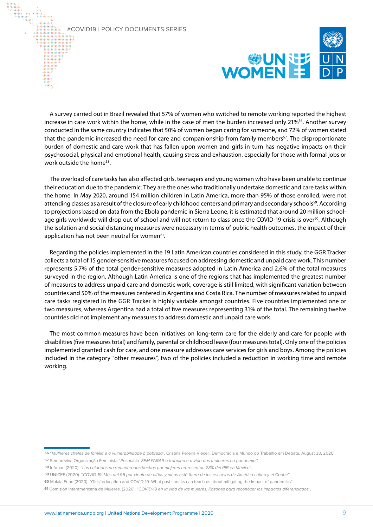

A survey carried out in Brazil revealed that 57% of women who switched to remote working reported the highest increase in care work within the home, while in the case of men the burden increased only 21%<sup>56</sup>. Another survey conducted in the same country indicates that 50% of women began caring for someone, and 72% of women stated that the pandemic increased the need for care and companionship from family members<sup>57</sup>. The disproportionate burden of domestic and care work that has fallen upon women and girls in turn has negative impacts on their psychosocial, physical and emotional health, causing stress and exhaustion, especially for those with formal jobs or work outside the home<sup>58</sup>.

The overload of care tasks has also affected girls, teenagers and young women who have been unable to continue their education due to the pandemic. They are the ones who traditionally undertake domestic and care tasks within the home. In May 2020, around 154 million children in Latin America, more than 95% of those enrolled, were not attending classes as a result of the closure of early childhood centers and primary and secondary schools<sup>59</sup>. According to projections based on data from the Ebola pandemic in Sierra Leone, it is estimated that around 20 million schoolage girls worldwide will drop out of school and will not return to class once the COVID-19 crisis is over<sup>60</sup>. Although the isolation and social distancing measures were necessary in terms of public health outcomes, the impact of their application has not been neutral for women<sup>61</sup>.

Regarding the policies implemented in the 19 Latin American countries considered in this study, the GGR Tracker collects a total of 15 gender-sensitive measures focused on addressing domestic and unpaid care work. This number represents 5.7% of the total gender-sensitive measures adopted in Latin America and 2.6% of the total measures surveyed in the region. Although Latin America is one of the regions that has implemented the greatest number of measures to address unpaid care and domestic work, coverage is still limited, with significant variation between countries and 50% of the measures centered in Argentina and Costa Rica. The number of measures related to unpaid care tasks registered in the GGR Tracker is highly variable amongst countries. Five countries implemented one or two measures, whereas Argentina had a total of five measures representing 31% of the total. The remaining twelve countries did not implement any measures to address domestic and unpaid care work.

The most common measures have been initiatives on long-term care for the elderly and care for people with disabilities (five measures total) and family, parental or childhood leave (four measures total). Only one of the policies implemented granted cash for care, and one measure addresses care services for girls and boys. Among the policies included in the category "other measures", two of the policies included a reduction in working time and remote working.

**58** Infobae (2020). "Los cuidados no remunerados hechos por mujeres representan 23% del PIB en México".

**<sup>56</sup>** "Mulheres chefes de família e a vulnerabilidade à pobreza", Cristina Pereira Vieceli, Democracia e Mundo do Trabalho em Debate, August 30, 2020. **57** Sempreviva Organização Feminista "Pesquisia. SEM PARAR o trabalho e a vida das mulheres na pandemia."

**<sup>59</sup>** UNICEF (2020). "COVID-19: Más del 95 por ciento de niños y niñas está fuera de las escuelas de América Latina y el Caribe".

**<sup>60</sup>** Malala Fund (2020). "Girls' education and COVID-19: What past shocks can teach us about mitigating the impact of pandemics".

**<sup>61</sup>** Comisión Interamericana de Mujeres. (2020). "COVID-19 en la vida de las mujeres: Razones para reconocer los impactos diferenciados".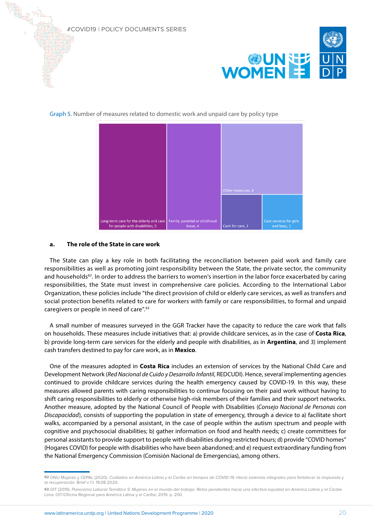

Graph 5. Number of measures related to domestic work and unpaid care by policy type



# **a. The role of the State in care work**

The State can play a key role in both facilitating the reconciliation between paid work and family care responsibilities as well as promoting joint responsibility between the State, the private sector, the community and households<sup>62</sup>. In order to address the barriers to women's insertion in the labor force exacerbated by caring responsibilities, the State must invest in comprehensive care policies. According to the International Labor Organization, these policies include "the direct provision of child or elderly care services, as well as transfers and social protection benefits related to care for workers with family or care responsibilities, to formal and unpaid caregivers or people in need of care".63

A small number of measures surveyed in the GGR Tracker have the capacity to reduce the care work that falls on households. These measures include initiatives that: a) provide childcare services, as in the case of **Costa Rica**, b) provide long-term care services for the elderly and people with disabilities, as in **Argentina**, and 3) implement cash transfers destined to pay for care work, as in **Mexico**.

One of the measures adopted in **Costa Rica** includes an extension of services by the National Child Care and Development Network (*Red Nacional de Cuido y Desarrollo Infantil*, REDCUDI). Hence, several implementing agencies continued to provide childcare services during the health emergency caused by COVID-19. In this way, these measures allowed parents with caring responsibilities to continue focusing on their paid work without having to shift caring responsibilities to elderly or otherwise high-risk members of their families and their support networks. Another measure, adopted by the National Council of People with Disabilities (*Consejo Nacional de Personas con Discapacidad*), consists of supporting the population in state of emergency, through a device to a) facilitate short walks, accompanied by a personal assistant, in the case of people within the autism spectrum and people with cognitive and psychosocial disabilities; b) gather information on food and health needs; c) create committees for personal assistants to provide support to people with disabilities during restricted hours; d) provide "COVID homes" (Hogares COVID) for people with disabilities who have been abandoned; and e) request extraordinary funding from the National Emergency Commission (Comisión Nacional de Emergencias), among others.

**<sup>62</sup>** ONU Mujeres y CEPAL (2020). Cuidados en América Latina y el Caribe en tiempos de COVID-19. Hacia sistemas integrales para fortalecer la respuesta y la recuperación. Brief v 1.1. 19.08.2020.

**<sup>63</sup>** OIT (2019). Panorama Laboral Temático 5: Mujeres en el mundo del trabajo. Retos pendientes hacia una efectiva equidad en América Latina y el Caribe. Lima: OIT/Oficina Regional para América Latina y el Caribe, 2019. p. 200.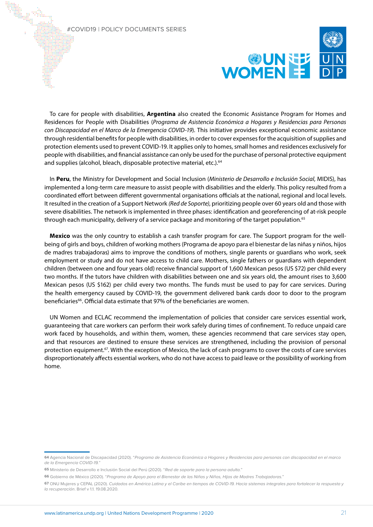

To care for people with disabilities, **Argentina** also created the Economic Assistance Program for Homes and Residences for People with Disabilities (*Programa de Asistencia Económica a Hogares y Residencias para Personas con Discapacidad en el Marco de la Emergencia COVID-19*). This initiative provides exceptional economic assistance through residential benefits for people with disabilities, in order to cover expenses for the acquisition of supplies and protection elements used to prevent COVID-19. It applies only to homes, small homes and residences exclusively for people with disabilities, and financial assistance can only be used for the purchase of personal protective equipment and supplies (alcohol, bleach, disposable protective material, etc.).<sup>64</sup>

In **Peru**, the Ministry for Development and Social Inclusion (*Ministerio de Desarrollo e Inclusión Social*, MIDIS), has implemented a long-term care measure to assist people with disabilities and the elderly. This policy resulted from a coordinated effort between different governmental organisations officials at the national, regional and local levels. It resulted in the creation of a Support Network *(Red de Soporte)*, prioritizing people over 60 years old and those with severe disabilities. The network is implemented in three phases: identification and georeferencing of at-risk people through each municipality, delivery of a service package and monitoring of the target population.<sup>65</sup>

**Mexico** was the only country to establish a cash transfer program for care. The Support program for the wellbeing of girls and boys, children of working mothers (Programa de apoyo para el bienestar de las niñas y niños, hijos de madres trabajadoras) aims to improve the conditions of mothers, single parents or guardians who work, seek employment or study and do not have access to child care. Mothers, single fathers or guardians with dependent children (between one and four years old) receive financial support of 1,600 Mexican pesos (US \$72) per child every two months. If the tutors have children with disabilities between one and six years old, the amount rises to 3,600 Mexican pesos (US \$162) per child every two months. The funds must be used to pay for care services. During the health emergency caused by COVID-19, the government delivered bank cards door to door to the program beneficiaries<sup>66</sup>. Official data estimate that 97% of the beneficiaries are women.

UN Women and ECLAC recommend the implementation of policies that consider care services essential work, guaranteeing that care workers can perform their work safely during times of confinement. To reduce unpaid care work faced by households, and within them, women, these agencies recommend that care services stay open, and that resources are destined to ensure these services are strengthened, including the provision of personal protection equipment.<sup>67</sup>. With the exception of Mexico, the lack of cash programs to cover the costs of care services disproportionately affects essential workers, who do not have access to paid leave or the possibility of working from home.

**<sup>64</sup>** Agencia Nacional de Discapacidad (2020). "Programa de Asistencia Económica a Hogares y Residencias para personas con discapacidad en el marco de la Emergencia COVID-19."

**<sup>65</sup>** Ministerio de Desarrollo e Inclusión Social del Perú (2020). "Red de soporte para la persona adulta."

**<sup>66</sup>** Gobierno de México (2020). "Programa de Apoyo para el Bienestar de las Niñas y Niños, Hijos de Madres Trabajadoras."

**<sup>67</sup>** ONU Mujeres y CEPAL (2020). Cuidados en América Latina y el Caribe en tiempos de COVID-19. Hacia sistemas integrales para fortalecer la respuesta y la recuperación. Brief v 1.1. 19.08.2020.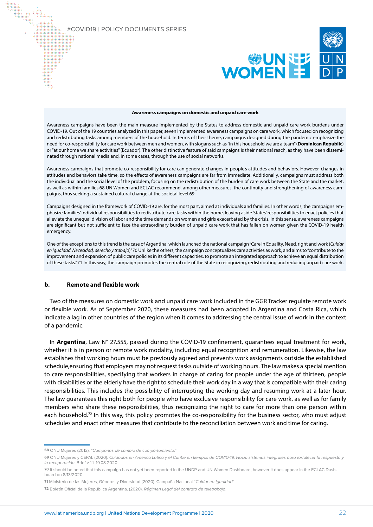

#### **Awareness campaigns on domestic and unpaid care work**

Awareness campaigns have been the main measure implemented by the States to address domestic and unpaid care work burdens under COVID-19. Out of the 19 countries analyzed in this paper, seven implemented awareness campaigns on care work, which focused on recognizing and redistributing tasks among members of the household. In terms of their theme, campaigns designed during the pandemic emphasize the need for co-responsibility for care work between men and women, with slogans such as "in this household we are a team" (**Dominican Republic**) or "at our home we share activities'' (Ecuador). The other distinctive feature of said campaigns is their national reach, as they have been disseminated through national media and, in some cases, through the use of social networks.

Awareness campaigns that promote co-responsibility for care can generate changes in people's attitudes and behaviors. However, changes in attitudes and behaviors take time, so the effects of awareness campaigns are far from immediate. Additionally, campaigns must address both the individual and the social level of the problem, focusing on the redistribution of the burden of care work between the State and the market, as well as within families.68 UN Women and ECLAC recommend, among other measures, the continuity and strengthening of awareness campaigns, thus seeking a sustained cultural change at the societal level.69

Campaigns designed in the framework of COVID-19 are, for the most part, aimed at individuals and families. In other words, the campaigns emphasize families' individual responsibilities to redistribute care tasks within the home, leaving aside States' responsibilities to enact policies that alleviate the unequal division of labor and the time demands on women and girls exacerbated by the crisis. In this sense, awareness campaigns are significant but not sufficient to face the extraordinary burden of unpaid care work that has fallen on women given the COVID-19 health emergency.

One of the exceptions to this trend is the case of Argentina, which launched the national campaign "Care in Equality. Need, right and work (*Cuidar en Igualdad. Necesidad, derecho y trabajo*)"70 Unlike the others, the campaign conceptualizes care activities as work, and aims to "contribute to the improvement and expansion of public care policies in its different capacities, to promote an integrated approach to achieve an equal distribution of these tasks."71 In this way, the campaign promotes the central role of the State in recognizing, redistributing and reducing unpaid care work.

### **b. Remote and flexible work**

Two of the measures on domestic work and unpaid care work included in the GGR Tracker regulate remote work or flexible work. As of September 2020, these measures had been adopted in Argentina and Costa Rica, which indicate a lag in other countries of the region when it comes to addressing the central issue of work in the context of a pandemic.

In **Argentina**, Law N° 27.555, passed during the COVID-19 confinement, guarantees equal treatment for work, whether it is in person or remote work modality, including equal recognition and remuneration. Likewise, the law establishes that working hours must be previously agreed and prevents work assignments outside the established schedule,ensuring that employers may not request tasks outside of working hours. The law makes a special mention to care responsibilities, specifying that workers in charge of caring for people under the age of thirteen, people with disabilities or the elderly have the right to schedule their work day in a way that is compatible with their caring responsibilities. This includes the possibility of interrupting the working day and resuming work at a later hour. The law guarantees this right both for people who have exclusive responsibility for care work, as well as for family members who share these responsibilities, thus recognizing the right to care for more than one person within each household.<sup>72</sup> In this way, this policy promotes the co-responsibility for the business sector, who must adjust schedules and enact other measures that contribute to the reconciliation between work and time for caring.

**<sup>68</sup>** ONU Mujeres (2012). "Campañas de cambio de comportamiento."

**<sup>69</sup>** ONU Mujeres y CEPAL (2020). Cuidados en América Latina y el Caribe en tiempos de COVID-19. Hacia sistemas integrales para fortalecer la respuesta y la recuperación. Brief v 1.1. 19.08.2020.

**<sup>70</sup>** It should be noted that this campaign has not yet been reported in the UNDP and UN Women Dashboard, however it does appear in the ECLAC Dashboard on 8/13/2020

**<sup>71</sup>** Ministerio de las Mujeres, Géneros y Diversidad (2020). Campaña Nacional "Cuidar en Igualdad"

**<sup>72</sup>** Boletín Oficial de la República Argentina. (2020). Régimen Legal del contrato de teletrabajo.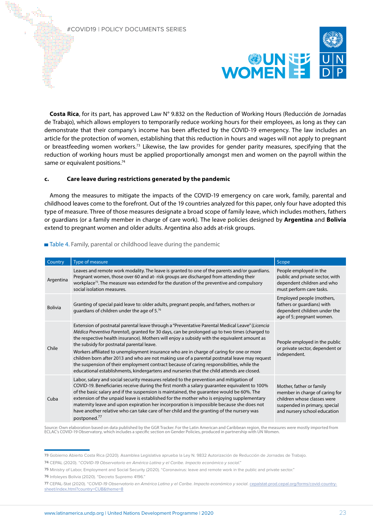

**Costa Rica**, for its part, has approved Law N° 9.832 on the Reduction of Working Hours (Reducción de Jornadas de Trabajo), which allows employers to temporarily reduce working hours for their employees, as long as they can demonstrate that their company's income has been affected by the COVID-19 emergency. The law includes an article for the protection of women, establishing that this reduction in hours and wages will not apply to pregnant or breastfeeding women workers.73 Likewise, the law provides for gender parity measures, specifying that the reduction of working hours must be applied proportionally amongst men and women on the payroll within the same or equivalent positions.<sup>74</sup>

# **c. Care leave during restrictions generated by the pandemic**

Among the measures to mitigate the impacts of the COVID-19 emergency on care work, family, parental and childhood leaves come to the forefront. Out of the 19 countries analyzed for this paper, only four have adopted this type of measure. Three of those measures designate a broad scope of family leave, which includes mothers, fathers or guardians (or a family member in charge of care work). The leave policies designed by **Argentina** and **Bolivia** extend to pregnant women and older adults. Argentina also adds at-risk groups.

| Country        | Type of measure                                                                                                                                                                                                                                                                                                                                                                                                                                                                                                                                                                                                                                                                                                                        | Scope                                                                                                                                                      |
|----------------|----------------------------------------------------------------------------------------------------------------------------------------------------------------------------------------------------------------------------------------------------------------------------------------------------------------------------------------------------------------------------------------------------------------------------------------------------------------------------------------------------------------------------------------------------------------------------------------------------------------------------------------------------------------------------------------------------------------------------------------|------------------------------------------------------------------------------------------------------------------------------------------------------------|
| Argentina      | Leaves and remote work modality. The leave is granted to one of the parents and/or guardians.<br>Pregnant women, those over 60 and at-risk groups are discharged from attending their<br>workplace <sup>75</sup> . The measure was extended for the duration of the preventive and compulsory<br>social isolation measures.                                                                                                                                                                                                                                                                                                                                                                                                            | People employed in the<br>public and private sector, with<br>dependent children and who<br>must perform care tasks.                                        |
| <b>Bolivia</b> | Granting of special paid leave to: older adults, pregnant people, and fathers, mothers or<br>guardians of children under the age of 5.76                                                                                                                                                                                                                                                                                                                                                                                                                                                                                                                                                                                               | Employed people (mothers,<br>fathers or guardians) with<br>dependent children under the<br>age of 5; pregnant women.                                       |
| Chile          | Extension of postnatal parental leave through a "Preventative Parental Medical Leave" (Licencia<br>Médica Preventiva Parental), granted for 30 days, can be prolonged up to two times (charged to<br>the respective health insurance). Mothers will enjoy a subsidy with the equivalent amount as<br>the subsidy for postnatal parental leave.<br>Workers affiliated to unemployment insurance who are in charge of caring for one or more<br>children born after 2013 and who are not making use of a parental postnatal leave may request<br>the suspension of their employment contract because of caring responsibilities, while the<br>educational establishments, kindergartens and nurseries that the child attends are closed. | People employed in the public<br>or private sector, dependent or<br>independent.                                                                           |
| Cuba           | Labor, salary and social security measures related to the prevention and mitigation of<br>COVID-19. Beneficiaries receive during the first month a salary guarantee equivalent to 100%<br>of the basic salary and if the suspension is maintained, the quarantee would be 60%. The<br>extension of the unpaid leave is established for the mother who is enjoying supplementary<br>maternity leave and upon expiration her incorporation is impossible because she does not<br>have another relative who can take care of her child and the granting of the nursery was<br>postponed. <sup>77</sup>                                                                                                                                    | Mother, father or family<br>member in charge of caring for<br>children whose classes were<br>suspended in primary, special<br>and nursery school education |

Table 4. Family, parental or childhood leave during the pandemic

Source: Own elaboration based on data published by the GGR Tracker. For the Latin American and Caribbean region, the measures were mostly imported from ECLAC's COVID-19 Observatory, which includes a specific section on Gender Policies, produced in partnership with UN Women.

**<sup>73</sup>** Gobierno Abierto Costa Rica (2020). Asamblea Legislativa aprueba la Ley N. 9832 Autorización de Reducción de Jornadas de Trabajo.

**<sup>74</sup>** CEPAL (2020). "COVID-19 Observatorio en América Latina y el Caribe. Impacto económico y social."

**<sup>75</sup>** Ministry of Labor, Employment and Social Security (2020). "Coronavirus: leave and remote work in the public and private sector."

**<sup>76</sup>** Infoleyes Bolivia (2020). "Decreto Supremo 4196."

**<sup>77</sup>** CEPAL-Stat (2020). "COVID-19 Observatorio en América Latina y el Caribe. Impacto económico y social. [cepalstat-prod.cepal.org/forms/covid-country](https://cepalstat-prod.cepal.org/forms/covid-countrysheet/index.html?country=CUB&theme=8)[sheet/index.html?country=CUB&theme=8](https://cepalstat-prod.cepal.org/forms/covid-countrysheet/index.html?country=CUB&theme=8)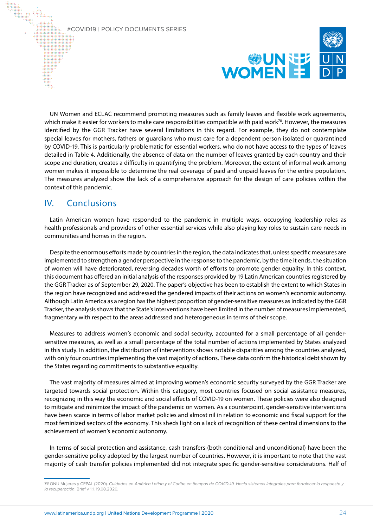

UN Women and ECLAC recommend promoting measures such as family leaves and flexible work agreements, which make it easier for workers to make care responsibilities compatible with paid work<sup>78</sup>. However, the measures identified by the GGR Tracker have several limitations in this regard. For example, they do not contemplate special leaves for mothers, fathers or guardians who must care for a dependent person isolated or quarantined by COVID-19. This is particularly problematic for essential workers, who do not have access to the types of leaves detailed in Table 4. Additionally, the absence of data on the number of leaves granted by each country and their scope and duration, creates a difficulty in quantifying the problem. Moreover, the extent of informal work among women makes it impossible to determine the real coverage of paid and unpaid leaves for the entire population. The measures analyzed show the lack of a comprehensive approach for the design of care policies within the context of this pandemic.

# IV. Conclusions

Latin American women have responded to the pandemic in multiple ways, occupying leadership roles as health professionals and providers of other essential services while also playing key roles to sustain care needs in communities and homes in the region.

Despite the enormous efforts made by countries in the region, the data indicates that, unless specific measures are implemented to strengthen a gender perspective in the response to the pandemic, by the time it ends, the situation of women will have deteriorated, reversing decades worth of efforts to promote gender equality. In this context, this document has offered an initial analysis of the responses provided by 19 Latin American countries registered by the GGR Tracker as of September 29, 2020. The paper's objective has been to establish the extent to which States in the region have recognized and addressed the gendered impacts of their actions on women's economic autonomy. Although Latin America as a region has the highest proportion of gender-sensitive measures as indicated by the GGR Tracker, the analysis shows that the State's interventions have been limited in the number of measures implemented, fragmentary with respect to the areas addressed and heterogeneous in terms of their scope.

Measures to address women's economic and social security, accounted for a small percentage of all gendersensitive measures, as well as a small percentage of the total number of actions implemented by States analyzed in this study. In addition, the distribution of interventions shows notable disparities among the countries analyzed, with only four countries implementing the vast majority of actions. These data confirm the historical debt shown by the States regarding commitments to substantive equality.

The vast majority of measures aimed at improving women's economic security surveyed by the GGR Tracker are targeted towards social protection. Within this category, most countries focused on social assistance measures, recognizing in this way the economic and social effects of COVID-19 on women. These policies were also designed to mitigate and minimize the impact of the pandemic on women. As a counterpoint, gender-sensitive interventions have been scarce in terms of labor market policies and almost nil in relation to economic and fiscal support for the most feminized sectors of the economy. This sheds light on a lack of recognition of these central dimensions to the achievement of women's economic autonomy.

In terms of social protection and assistance, cash transfers (both conditional and unconditional) have been the gender-sensitive policy adopted by the largest number of countries. However, it is important to note that the vast majority of cash transfer policies implemented did not integrate specific gender-sensitive considerations. Half of

**<sup>78</sup>** ONU Mujeres y CEPAL (2020). Cuidados en América Latina y el Caribe en tiempos de COVID-19. Hacia sistemas integrales para fortalecer la respuesta y la recuperación. Brief v 1.1. 19.08.2020.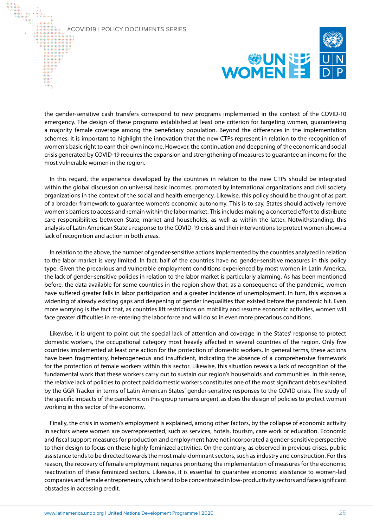

the gender-sensitive cash transfers correspond to new programs implemented in the context of the COVID-10 emergency. The design of these programs established at least one criterion for targeting women, guaranteeing a majority female coverage among the beneficiary population. Beyond the differences in the implementation schemes, it is important to highlight the innovation that the new CTPs represent in relation to the recognition of women's basic right to earn their own income. However, the continuation and deepening of the economic and social crisis generated by COVID-19 requires the expansion and strengthening of measures to guarantee an income for the most vulnerable women in the region.

In this regard, the experience developed by the countries in relation to the new CTPs should be integrated within the global discussion on universal basic incomes, promoted by international organizations and civil society organizations in the context of the social and health emergency. Likewise, this policy should be thought of as part of a broader framework to guarantee women's economic autonomy. This is to say, States should actively remove women's barriers to access and remain within the labor market. This includes making a concerted effort to distribute care responsibilities between State, market and households, as well as within the latter. Notwithstanding, this analysis of Latin American State's response to the COVID-19 crisis and their interventions to protect women shows a lack of recognition and action in both areas.

In relation to the above, the number of gender-sensitive actions implemented by the countries analyzed in relation to the labor market is very limited. In fact, half of the countries have no gender-sensitive measures in this policy type. Given the precarious and vulnerable employment conditions experienced by most women in Latin America, the lack of gender-sensitive policies in relation to the labor market is particularly alarming. As has been mentioned before, the data available for some countries in the region show that, as a consequence of the pandemic, women have suffered greater falls in labor participation and a greater incidence of unemployment. In turn, this exposes a widening of already existing gaps and deepening of gender inequalities that existed before the pandemic hit. Even more worrying is the fact that, as countries lift restrictions on mobility and resume economic activities, women will face greater difficulties in re-entering the labor force and will do so in even more precarious conditions.

Likewise, it is urgent to point out the special lack of attention and coverage in the States' response to protect domestic workers, the occupational category most heavily affected in several countries of the region. Only five countries implemented at least one action for the protection of domestic workers. In general terms, these actions have been fragmentary, heterogeneous and insufficient, indicating the absence of a comprehensive framework for the protection of female workers within this sector. Likewise, this situation reveals a lack of recognition of the fundamental work that these workers carry out to sustain our region's households and communities. In this sense, the relative lack of policies to protect paid domestic workers constitutes one of the most significant debts exhibited by the GGR Tracker in terms of Latin American States' gender-sensitive responses to the COVID crisis. The study of the specific impacts of the pandemic on this group remains urgent, as does the design of policies to protect women working in this sector of the economy.

Finally, the crisis in women's employment is explained, among other factors, by the collapse of economic activity in sectors where women are overrepresented, such as services, hotels, tourism, care work or education. Economic and fiscal support measures for production and employment have not incorporated a gender-sensitive perspective to their design to focus on these highly feminized activities. On the contrary, as observed in previous crises, public assistance tends to be directed towards the most male-dominant sectors, such as industry and construction. For this reason, the recovery of female employment requires prioritizing the implementation of measures for the economic reactivation of these feminized sectors. Likewise, it is essential to guarantee economic assistance to women-led companies and female entrepreneurs, which tend to be concentrated in low-productivity sectors and face significant obstacles in accessing credit.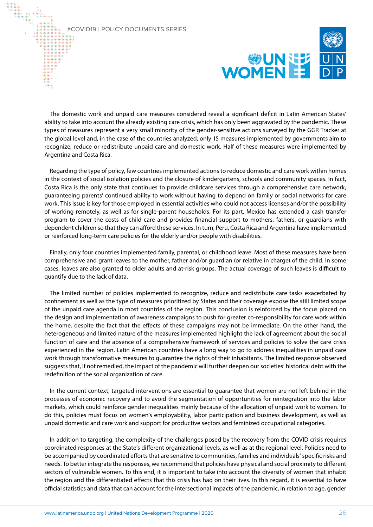

The domestic work and unpaid care measures considered reveal a significant deficit in Latin American States' ability to take into account the already existing care crisis, which has only been aggravated by the pandemic. These types of measures represent a very small minority of the gender-sensitive actions surveyed by the GGR Tracker at the global level and, in the case of the countries analyzed, only 15 measures implemented by governments aim to recognize, reduce or redistribute unpaid care and domestic work. Half of these measures were implemented by Argentina and Costa Rica.

Regarding the type of policy, few countries implemented actions to reduce domestic and care work within homes in the context of social isolation policies and the closure of kindergartens, schools and community spaces. In fact, Costa Rica is the only state that continues to provide childcare services through a comprehensive care network, guaranteeing parents' continued ability to work without having to depend on family or social networks for care work. This issue is key for those employed in essential activities who could not access licenses and/or the possibility of working remotely, as well as for single-parent households. For its part, Mexico has extended a cash transfer program to cover the costs of child care and provides financial support to mothers, fathers, or guardians with dependent children so that they can afford these services. In turn, Peru, Costa Rica and Argentina have implemented or reinforced long-term care policies for the elderly and/or people with disabilities.

Finally, only four countries implemented family, parental, or childhood leave. Most of these measures have been comprehensive and grant leaves to the mother, father and/or guardian (or relative in charge) of the child. In some cases, leaves are also granted to older adults and at-risk groups. The actual coverage of such leaves is difficult to quantify due to the lack of data.

The limited number of policies implemented to recognize, reduce and redistribute care tasks exacerbated by confinement as well as the type of measures prioritized by States and their coverage expose the still limited scope of the unpaid care agenda in most countries of the region. This conclusion is reinforced by the focus placed on the design and implementation of awareness campaigns to push for greater co-responsibility for care work within the home, despite the fact that the effects of these campaigns may not be immediate. On the other hand, the heterogeneous and limited nature of the measures implemented highlight the lack of agreement about the social function of care and the absence of a comprehensive framework of services and policies to solve the care crisis experienced in the region. Latin American countries have a long way to go to address inequalities in unpaid care work through transformative measures to guarantee the rights of their inhabitants. The limited response observed suggests that, if not remedied, the impact of the pandemic will further deepen our societies' historical debt with the redefinition of the social organization of care.

In the current context, targeted interventions are essential to guarantee that women are not left behind in the processes of economic recovery and to avoid the segmentation of opportunities for reintegration into the labor markets, which could reinforce gender inequalities mainly because of the allocation of unpaid work to women. To do this, policies must focus on women's employability, labor participation and business development, as well as unpaid domestic and care work and support for productive sectors and feminized occupational categories.

In addition to targeting, the complexity of the challenges posed by the recovery from the COVID crisis requires coordinated responses at the State's different organizational levels, as well as at the regional level. Policies need to be accompanied by coordinated efforts that are sensitive to communities, families and individuals' specific risks and needs. To better integrate the responses, we recommend that policies have physical and social proximity to different sectors of vulnerable women. To this end, it is important to take into account the diversity of women that inhabit the region and the differentiated effects that this crisis has had on their lives. In this regard, it is essential to have official statistics and data that can account for the intersectional impacts of the pandemic, in relation to age, gender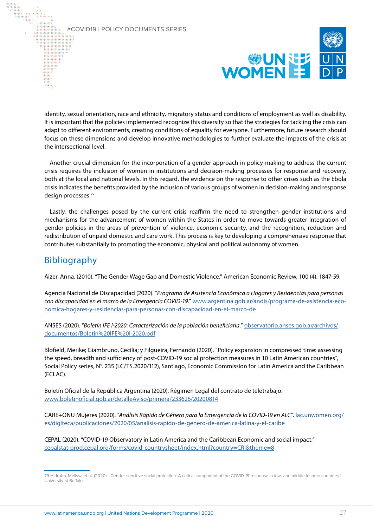

identity, sexual orientation, race and ethnicity, migratory status and conditions of employment as well as disability. It is important that the policies implemented recognize this diversity so that the strategies for tackling the crisis can adapt to different environments, creating conditions of equality for everyone. Furthermore, future research should focus on these dimensions and develop innovative methodologies to further evaluate the impacts of the crisis at the intersectional level.

Another crucial dimension for the incorporation of a gender approach in policy-making to address the current crisis requires the inclusion of women in institutions and decision-making processes for response and recovery, both at the local and national levels. In this regard, the evidence on the response to other crises such as the Ebola crisis indicates the benefits provided by the inclusion of various groups of women in decision-making and response design processes.79

Lastly, the challenges posed by the current crisis reaffirm the need to strengthen gender institutions and mechanisms for the advancement of women within the States in order to move towards greater integration of gender policies in the areas of prevention of violence, economic security, and the recognition, reduction and redistribution of unpaid domestic and care work. This process is key to developing a comprehensive response that contributes substantially to promoting the economic, physical and political autonomy of women.

# Bibliography

Aizer, Anna. (2010). "The Gender Wage Gap and Domestic Violence." American Economic Review, 100 (4): 1847-59.

Agencia Nacional de Discapacidad (2020). "*Programa de Asistencia Económica a Hogares y Residencias para personas con discapacidad en el marco de la Emergencia COVID-19*." [www.argentina.gob.ar/andis/programa-de-asistencia-eco](https://www.argentina.gob.ar/andis/programa-de-asistencia-economica-hogares-y-residencias-para-personas-con-discapacidad-en-el-marco-de)[nomica-hogares-y-residencias-para-personas-con-discapacidad-en-el-marco-de](https://www.argentina.gob.ar/andis/programa-de-asistencia-economica-hogares-y-residencias-para-personas-con-discapacidad-en-el-marco-de)

ANSES (2020). "*Boletín IFE I-2020: Caracterización de la población beneficiaria*." [observatorio.anses.gob.ar/archivos/](http://observatorio.anses.gob.ar/archivos/documentos/Boletin%20IFE%20I-2020.pdf) [documentos/Boletin%20IFE%20I-2020.pdf](http://observatorio.anses.gob.ar/archivos/documentos/Boletin%20IFE%20I-2020.pdf)

Blofield, Merike; Giambruno, Cecilia; y Filgueira, Fernando (2020). "Policy expansion in compressed time: assessing the speed, breadth and sufficiency of post‐COVID‐19 social protection measures in 10 Latin American countries", Social Policy series, N°. 235 (LC/TS.2020/112), Santiago, Economic Commission for Latin America and the Caribbean (ECLAC).

Boletín Oficial de la República Argentina (2020). Régimen Legal del contrato de teletrabajo. [www.boletinoficial.gob.ar/detalleAviso/primera/233626/20200814](https://www.boletinoficial.gob.ar/detalleAviso/primera/233626/20200814)

CARE+ONU Mujeres (2020). "*Análisis Rápido de Género para la Emergencia de la COVID-19 en ALC*". [lac.unwomen.org/](https://lac.unwomen.org/es/digiteca/publicaciones/2020/05/analisis-rapido-de-genero-de-america-latina-y-el-caribe) [es/digiteca/publicaciones/2020/05/analisis-rapido-de-genero-de-america-latina-y-el-caribe](https://lac.unwomen.org/es/digiteca/publicaciones/2020/05/analisis-rapido-de-genero-de-america-latina-y-el-caribe)

CEPAL (2020). "COVID-19 Observatory in Latin America and the Caribbean Economic and social impact." [cepalstat-prod.cepal.org/forms/covid-countrysheet/index.html?country=CRI&theme=8](https://cepalstat-prod.cepal.org/forms/covid-countrysheet/index.html?country=CRI&theme=8)

<sup>79</sup> Hidrobo, Melissa et al. (2020). "Gender-sensitive social protection: A critical component of the COVID-19 response in low- and middle-income countries." University at Buffalo.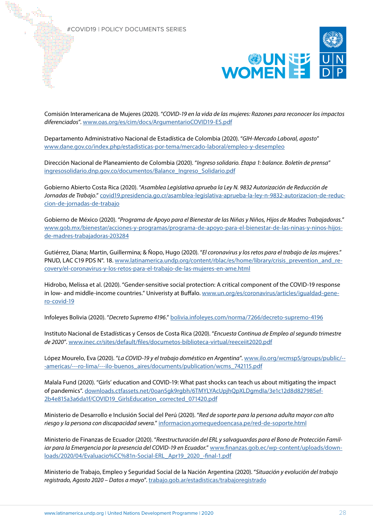

Comisión Interamericana de Mujeres (2020). "*COVID-19 en la vida de las mujeres: Razones para reconocer los impactos diferenciados*". [www.oas.org/es/cim/docs/ArgumentarioCOVID19-ES.pdf](https://www.oas.org/es/cim/docs/ArgumentarioCOVID19-ES.pdf)

Departamento Administrativo Nacional de Estadística de Colombia (2020). "*GIH-Mercado Laboral, agosto*" [www.dane.gov.co/index.php/estadisticas-por-tema/mercado-laboral/empleo-y-desempleo](https://www.dane.gov.co/index.php/estadisticas-por-tema/mercado-laboral/empleo-y-desempleo)

Dirección Nacional de Planeamiento de Colombia (2020). "*Ingreso solidario. Etapa 1: balance. Boletín de prensa*" [ingresosolidario.dnp.gov.co/documentos/Balance\\_Ingreso\\_Solidario.pdf](https://ingresosolidario.dnp.gov.co/documentos/Balance_Ingreso_Solidario.pdf)

Gobierno Abierto Costa Rica (2020). "*Asamblea Legislativa aprueba la Ley N. 9832 Autorización de Reducción de Jornadas de Trabajo*." [covid19.presidencia.go.cr/asamblea-legislativa-aprueba-la-ley-n-9832-autorizacion-de-reduc](https://covid19.presidencia.go.cr/asamblea-legislativa-aprueba-la-ley-n-9832-autorizacion-de-reduccion-de-jornadas-de-trabajo)[cion-de-jornadas-de-trabajo](https://covid19.presidencia.go.cr/asamblea-legislativa-aprueba-la-ley-n-9832-autorizacion-de-reduccion-de-jornadas-de-trabajo)

Gobierno de México (2020). "*Programa de Apoyo para el Bienestar de las Niñas y Niños, Hijos de Madres Trabajadoras.*" [www.gob.mx/bienestar/acciones-y-programas/programa-de-apoyo-para-el-bienestar-de-las-ninas-y-ninos-hijos](https://www.gob.mx/bienestar/acciones-y-programas/programa-de-apoyo-para-el-bienestar-de-las-ninas-y-ninos-hijos-de-madres-trabajadoras-203284)[de-madres-trabajadoras-203284](https://www.gob.mx/bienestar/acciones-y-programas/programa-de-apoyo-para-el-bienestar-de-las-ninas-y-ninos-hijos-de-madres-trabajadoras-203284)

Gutiérrez, Diana; Martin, Guillermina; & Ñopo, Hugo (2020). "*El coronavirus y los retos para el trabajo de las mujeres*." PNUD, LAC C19 PDS N°. 18. [www.latinamerica.undp.org/content/rblac/es/home/library/crisis\\_prevention\\_and\\_re](https://www.latinamerica.undp.org/content/rblac/es/home/library/crisis_prevention_and_recovery/el-coronavirus-y-los-retos-para-el-trabajo-de-las-mujeres-en-ame.html)[covery/el-coronavirus-y-los-retos-para-el-trabajo-de-las-mujeres-en-ame.html](https://www.latinamerica.undp.org/content/rblac/es/home/library/crisis_prevention_and_recovery/el-coronavirus-y-los-retos-para-el-trabajo-de-las-mujeres-en-ame.html)

Hidrobo, Melissa et al. (2020). "Gender-sensitive social protection: A critical component of the COVID-19 response in low- and middle-income countries." Univeristy at Buffalo. [www.un.org/es/coronavirus/articles/igualdad-gene](https://www.un.org/es/coronavirus/articles/igualdad-genero-covid-19)[ro-covid-19](https://www.un.org/es/coronavirus/articles/igualdad-genero-covid-19)

Infoleyes Bolivia (2020). "*Decreto Supremo 4196*." [bolivia.infoleyes.com/norma/7266/decreto-supremo-4196](https://bolivia.infoleyes.com/norma/7266/decreto-supremo-4196)

Instituto Nacional de Estadísticas y Censos de Costa Rica (2020). "*Encuesta Continua de Empleo al segundo trimestre de 2020*". [www.inec.cr/sites/default/files/documetos-biblioteca-virtual/reeceiit2020.pdf](https://www.inec.cr/sites/default/files/documetos-biblioteca-virtual/reeceiit2020.pdf)

López Mourelo, Eva (2020). "*La COVID-19 y el trabajo doméstico en Argentina*". [www.ilo.org/wcmsp5/groups/public/--](https://www.ilo.org/wcmsp5/groups/public/---americas/---ro-lima/---ilo-buenos_aires/documents/publication/wcms_742115.pdf) [-americas/---ro-lima/---ilo-buenos\\_aires/documents/publication/wcms\\_742115.pdf](https://www.ilo.org/wcmsp5/groups/public/---americas/---ro-lima/---ilo-buenos_aires/documents/publication/wcms_742115.pdf)

Malala Fund (2020). "Girls' education and COVID-19: What past shocks can teach us about mitigating the impact of pandemics". [downloads.ctfassets.net/0oan5gk9rgbh/6TMYLYAcUpjhQpXLDgmdIa/3e1c12d8d827985ef-](https://downloads.ctfassets.net/0oan5gk9rgbh/6TMYLYAcUpjhQpXLDgmdIa/3e1c12d8d827985ef2b4e815a3a6da1f/COVID19_GirlsEducation_corrected_071420.pdf)[2b4e815a3a6da1f/COVID19\\_GirlsEducation\\_corrected\\_071420.pdf](https://downloads.ctfassets.net/0oan5gk9rgbh/6TMYLYAcUpjhQpXLDgmdIa/3e1c12d8d827985ef2b4e815a3a6da1f/COVID19_GirlsEducation_corrected_071420.pdf)

Ministerio de Desarrollo e Inclusión Social del Perú (2020). "*Red de soporte para la persona adulta mayor con alto riesgo y la persona con discapacidad severa.*" [informacion.yomequedoencasa.pe/red-de-soporte.html](https://informacion.yomequedoencasa.pe/red-de-soporte.html)

Ministerio de Finanzas de Ecuador (2020). "*Reestructuración del ERL y salvaguardas para el Bono de Protección Familiar para la Emergencia por la presencia del COVID-19 en Ecuador.*" [www.finanzas.gob.ec/wp-content/uploads/down](https://www.finanzas.gob.ec/wp-content/uploads/downloads/2020/04/Evaluacio%CC%81n-Social-ERL_Apr19_2020_-final-1.pdf)[loads/2020/04/Evaluacio%CC%81n-Social-ERL\\_Apr19\\_2020\\_-final-1.pdf](https://www.finanzas.gob.ec/wp-content/uploads/downloads/2020/04/Evaluacio%CC%81n-Social-ERL_Apr19_2020_-final-1.pdf)

Ministerio de Trabajo, Empleo y Seguridad Social de la Nación Argentina (2020). "*Situación y evolución del trabajo registrado, Agosto 2020 – Datos a mayo*". [trabajo.gob.ar/estadisticas/trabajoregistrado](https://www.finanzas.gob.ec/wp-content/uploads/downloads/2020/04/Evaluacio%CC%81n-Social-ERL_Apr19_2020_-final-1.pdf)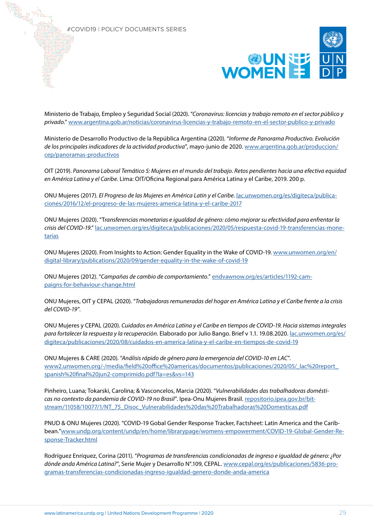

Ministerio de Trabajo, Empleo y Seguridad Social (2020). "*Coronavirus: licencias y trabajo remoto en el sector público y privado*." [www.argentina.gob.ar/noticias/coronavirus-licencias-y-trabajo-remoto-en-el-sector-publico-y-privado](https://www.argentina.gob.ar/noticias/coronavirus-licencias-y-trabajo-remoto-en-el-sector-publico-y-privado)

Ministerio de Desarrollo Productivo de la República Argentina (2020). "*Informe de Panorama Productivo. Evolución de los principales indicadores de la actividad productiva*", mayo-junio de 2020. [www.argentina.gob.ar/produccion/](https://www.argentina.gob.ar/produccion/cep/panoramas-productivos) [cep/panoramas-productivos](https://www.argentina.gob.ar/produccion/cep/panoramas-productivos)

OIT (2019). *Panorama Laboral Temático 5: Mujeres en el mundo del trabajo. Retos pendientes hacia una efectiva equidad en América Latina y el Caribe*. Lima: OIT/Oficina Regional para América Latina y el Caribe, 2019. 200 p.

ONU Mujeres (2017). *El Progreso de las Mujeres en América Latin y el Caribe*. [lac.unwomen.org/es/digiteca/publica](https://lac.unwomen.org/es/digiteca/publicaciones/2016/12/el-progreso-de-las-mujeres-america-latina-y-el-caribe-2017)[ciones/2016/12/el-progreso-de-las-mujeres-america-latina-y-el-caribe-2017](https://lac.unwomen.org/es/digiteca/publicaciones/2016/12/el-progreso-de-las-mujeres-america-latina-y-el-caribe-2017)

ONU Mujeres (2020). "T*ransferencias monetarias e igualdad de género: cómo mejorar su efectividad para enfrentar la crisis del COVID-19*." [lac.unwomen.org/es/digiteca/publicaciones/2020/05/respuesta-covid-19-transferencias-mone](https://lac.unwomen.org/es/digiteca/publicaciones/2020/05/respuesta-covid-19-transferencias-monetarias)[tarias](https://lac.unwomen.org/es/digiteca/publicaciones/2020/05/respuesta-covid-19-transferencias-monetarias)

ONU Mujeres (2020). From Insights to Action: Gender Equality in the Wake of COVID-19. [www.unwomen.org/en/](https://www.unwomen.org/en/digital-library/publications/2020/09/gender-equality-in-the-wake-of-covid-19) [digital-library/publications/2020/09/gender-equality-in-the-wake-of-covid-19](https://www.unwomen.org/en/digital-library/publications/2020/09/gender-equality-in-the-wake-of-covid-19)

ONU Mujeres (2012). "*Campañas de cambio de comportamiento*." [endvawnow.org/es/articles/1192-cam](https://endvawnow.org/es/articles/1192-campaigns-for-behaviour-change.html)[paigns-for-behaviour-change.html](https://endvawnow.org/es/articles/1192-campaigns-for-behaviour-change.html)

ONU Mujeres, OIT y CEPAL (2020). "*Trabajadoras remuneradas del hogar en América Latina y el Caribe frente a la crisis del COVID-19*".

ONU Mujeres y CEPAL (2020). *Cuidados en América Latina y el Caribe en tiempos de COVID-19. Hacia sistemas integrales para fortalecer la respuesta y la recuperación*. Elaborado por Julio Bango. Brief v 1.1. 19.08.2020. [lac.unwomen.org/es/](https://lac.unwomen.org/es/digiteca/publicaciones/2020/08/cuidados-en-america-latina-y-el-caribe-en-tiempos-de-covid-19) [digiteca/publicaciones/2020/08/cuidados-en-america-latina-y-el-caribe-en-tiempos-de-covid-19](https://lac.unwomen.org/es/digiteca/publicaciones/2020/08/cuidados-en-america-latina-y-el-caribe-en-tiempos-de-covid-19)

ONU Mujeres & CARE (2020). "*Análisis rápido de género para la emergencia del COVID-10 en LAC*". [www2.unwomen.org/-/media/field%20office%20americas/documentos/publicaciones/2020/05/\\_lac%20report\\_](https://www2.unwomen.org/-/media/field%20office%20americas/documentos/publicaciones/2020/05/_lac%20report_spanish%20final%20jun2-comprimido.pdf?la=es&vs=143) [spanish%20final%20jun2-comprimido.pdf?la=es&vs=143](https://www2.unwomen.org/-/media/field%20office%20americas/documentos/publicaciones/2020/05/_lac%20report_spanish%20final%20jun2-comprimido.pdf?la=es&vs=143)

Pinheiro, Luana; Tokarski, Carolina; & Vasconcelos, Marcia (2020). "*Vulnerabilidades das trabalhadoras domésticas no contexto da pandemia de COVID-19 no Brasil*". Ipea-Onu Mujeres Brasil. [repositorio.ipea.gov.br/bit](http://repositorio.ipea.gov.br/bitstream/11058/10077/1/NT_75_Disoc_Vulnerabilidades%20das%20Trabalhadoras%20Domesticas.pdf)[stream/11058/10077/1/NT\\_75\\_Disoc\\_Vulnerabilidades%20das%20Trabalhadoras%20Domesticas.pdf](http://repositorio.ipea.gov.br/bitstream/11058/10077/1/NT_75_Disoc_Vulnerabilidades%20das%20Trabalhadoras%20Domesticas.pdf)

PNUD & ONU Mujeres (2020). "COVID-19 Gobal Gender Response Tracker, Factsheet: Latin America and the Caribbean."[www.undp.org/content/undp/en/home/librarypage/womens-empowerment/COVID-19-Global-Gender-Re](https://www.undp.org/content/undp/en/home/librarypage/womens-empowerment/COVID-19-Global-Gender-Response-Tracker.html)[sponse-Tracker.html](https://www.undp.org/content/undp/en/home/librarypage/womens-empowerment/COVID-19-Global-Gender-Response-Tracker.html)

Rodríguez Enríquez, Corina (2011). "*Programas de transferencias condicionadas de ingreso e igualdad de género: ¿Por dónde anda América Latina?*", Serie Mujer y Desarrollo N°.109, CEPAL. [www.cepal.org/es/publicaciones/5836-pro](https://www.cepal.org/es/publicaciones/5836-programas-transferencias-condicionadas-ingreso-igualdad-genero-donde-anda-america)[gramas-transferencias-condicionadas-ingreso-igualdad-genero-donde-anda-america](https://www.cepal.org/es/publicaciones/5836-programas-transferencias-condicionadas-ingreso-igualdad-genero-donde-anda-america)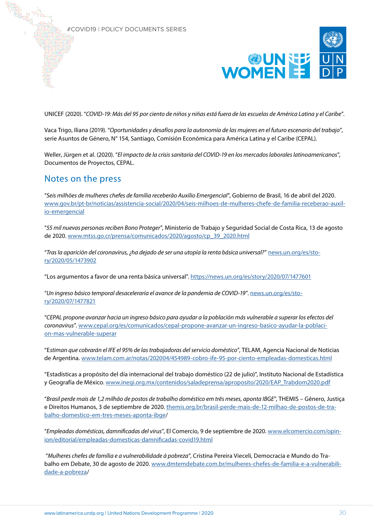

UNICEF (2020). "*COVID-19: Más del 95 por ciento de niños y niñas está fuera de las escuelas de América Latina y el Caribe*".

Vaca Trigo, Iliana (2019). "*Oportunidades y desafíos para la autonomía de las mujeres en el futuro escenario del trabajo*", serie Asuntos de Género, N° 154, Santiago, Comisión Económica para América Latina y el Caribe (CEPAL).

Weller, Jürgen et al. (2020). "*El impacto de la crisis sanitaria del COVID-19 en los mercados laborales latinoamericanos*", Documentos de Proyectos, CEPAL.

# Notes on the press

"*Seis milhões de mulheres chefes de família receberão Auxílio Emergencial*", Gobierno de Brasil, 16 de abril del 2020. [www.gov.br/pt-br/noticias/assistencia-social/2020/04/seis-milhoes-de-mulheres-chefe-de-familia-receberao-auxil](https://www.gov.br/pt-br/noticias/assistencia-social/2020/04/seis-milhoes-de-mulheres-chefe-de-familia-receberao-auxilio-emergencial)[io-emergencial](https://www.gov.br/pt-br/noticias/assistencia-social/2020/04/seis-milhoes-de-mulheres-chefe-de-familia-receberao-auxilio-emergencial)

"*55 mil nuevas personas reciben Bono Proteger*", Ministerio de Trabajo y Seguridad Social de Costa Rica, 13 de agosto de 2020. [www.mtss.go.cr/prensa/comunicados/2020/agosto/cp\\_39\\_2020.html](http://www.mtss.go.cr/prensa/comunicados/2020/agosto/cp_39_2020.html)

"*Tras la aparición del coronavirus, ¿ha dejado de ser una utopía la renta básica universal?*" [news.un.org/es/sto](https://news.un.org/es/story/2020/05/1473902)[ry/2020/05/1473902](https://news.un.org/es/story/2020/05/1473902)

"Los argumentos a favor de una renta básica universal".<https://news.un.org/es/story/2020/07/1477601>

"*Un ingreso básico temporal desaceleraría el avance de la pandemia de COVID-19*". [news.un.org/es/sto](https://news.un.org/es/story/2020/07/1477821)[ry/2020/07/1477821](https://news.un.org/es/story/2020/07/1477821)

"*CEPAL propone avanzar hacia un ingreso básico para ayudar a la población más vulnerable a superar los efectos del coronavirus*". [www.cepal.org/es/comunicados/cepal-propone-avanzar-un-ingreso-basico-ayudar-la-poblaci](https://www.cepal.org/es/comunicados/cepal-propone-avanzar-un-ingreso-basico-ayudar-la-poblacion-mas-vulnerable-superar)[on-mas-vulnerable-superar](https://www.cepal.org/es/comunicados/cepal-propone-avanzar-un-ingreso-basico-ayudar-la-poblacion-mas-vulnerable-superar)

"E*stiman que cobrarán el IFE el 95% de las trabajadoras del servicio doméstico*", TELAM, Agencia Nacional de Noticias de Argentina. [www.telam.com.ar/notas/202004/454989-cobro-ife-95-por-ciento-empleadas-domesticas.html](https://www.telam.com.ar/notas/202004/454989-cobro-ife-95-por-ciento-empleadas-domesticas.html)

"Estadísticas a propósito del día internacional del trabajo doméstico (22 de julio)", Instituto Nacional de Estadística y Geografía de México. [www.inegi.org.mx/contenidos/saladeprensa/aproposito/2020/EAP\\_Trabdom2020.pdf](https://www.telam.com.ar/notas/202004/454989-cobro-ife-95-por-ciento-empleadas-domesticas.html)

"*Brasil perde mais de 1,2 milhão de postos de trabalho doméstico em três meses, aponta IBGE*", THEMIS – Gênero, Justiça e Direitos Humanos, 3 de septiembre de 2020. [themis.org.br/brasil-perde-mais-de-12-milhao-de-postos-de-tra](http://themis.org.br/brasil-perde-mais-de-12-milhao-de-postos-de-trabalho-domestico-em-tres-meses-aponta-ibge)[balho-domestico-em-tres-meses-aponta-ibge/](http://themis.org.br/brasil-perde-mais-de-12-milhao-de-postos-de-trabalho-domestico-em-tres-meses-aponta-ibge)

"*Empleadas domésticas, damnificadas del virus*", El Comercio, 9 de septiembre de 2020. [www.elcomercio.com/opin](https://www.elcomercio.com/opinion/editorial/empleadas-domesticas-damnificadas-covid19.html)[ion/editorial/empleadas-domesticas-damnificadas-covid19.html](https://www.elcomercio.com/opinion/editorial/empleadas-domesticas-damnificadas-covid19.html)

 "*Mulheres chefes de família e a vulnerabilidade à pobreza*", Cristina Pereira Vieceli, Democracia e Mundo do Trabalho em Debate, 30 de agosto de 2020. [www.dmtemdebate.com.br/mulheres-chefes-de-familia-e-a-vulnerabili](http://www.dmtemdebate.com.br/mulheres-chefes-de-familia-e-a-vulnerabilidade-a-pobreza)[dade-a-pobreza/](http://www.dmtemdebate.com.br/mulheres-chefes-de-familia-e-a-vulnerabilidade-a-pobreza)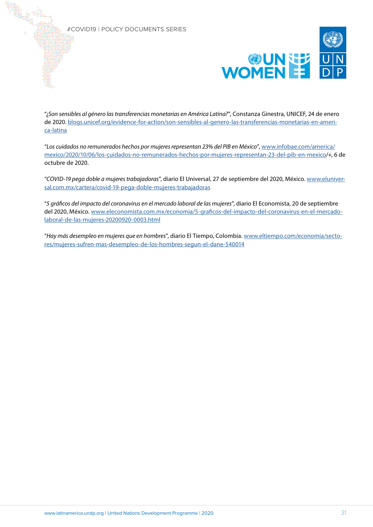

"¿*Son sensibles al género las transferencias monetarias en América Latina?*", Constanza Ginestra, UNICEF, 24 de enero de 2020. [blogs.unicef.org/evidence-for-action/son-sensibles-al-genero-las-transferencias-monetarias-en-ameri](https://blogs.unicef.org/evidence-for-action/son-sensibles-al-genero-las-transferencias-monetarias-en-america-latina/)[ca-latina](https://blogs.unicef.org/evidence-for-action/son-sensibles-al-genero-las-transferencias-monetarias-en-america-latina/)

"*Los cuidados no remunerados hechos por mujeres representan 23% del PIB en México*", [www.infobae.com/america/](https://www.infobae.com/america/mexico/2020/10/06/los-cuidados-no-remunerados-hechos-por-mujeres-representan-23-del-pib-en-mexico) [mexico/2020/10/06/los-cuidados-no-remunerados-hechos-por-mujeres-representan-23-del-pib-en-mexico/](https://www.infobae.com/america/mexico/2020/10/06/los-cuidados-no-remunerados-hechos-por-mujeres-representan-23-del-pib-en-mexico)+, 6 de octubre de 2020.

"*COVID-19 pega doble a mujeres trabajadoras*", diario El Universal, 27 de septiembre del 2020, México. [www.eluniver](https://www.eluniversal.com.mx/cartera/covid-19-pega-doble-mujeres-trabajadoras)[sal.com.mx/cartera/covid-19-pega-doble-mujeres-trabajadoras](https://www.eluniversal.com.mx/cartera/covid-19-pega-doble-mujeres-trabajadoras)

"*5 gráficos del impacto del coronavirus en el mercado laboral de las mujeres*", diario El Economista, 20 de septiembre del 2020, México. [www.eleconomista.com.mx/economia/5-graficos-del-impacto-del-coronavirus-en-el-mercado](https://www.eleconomista.com.mx/economia/5-graficos-del-impacto-del-coronavirus-en-el-mercado-laboral-de-las-mujeres-20200920-0003.html)[laboral-de-las-mujeres-20200920-0003.html](https://www.eleconomista.com.mx/economia/5-graficos-del-impacto-del-coronavirus-en-el-mercado-laboral-de-las-mujeres-20200920-0003.html)

"*Hay más desempleo en mujeres que en hombres*", diario El Tiempo, Colombia. [www.eltiempo.com/economia/secto](https://www.eltiempo.com/economia/sectores/mujeres-sufren-mas-desempleo-de-los-hombres-segun-el-dane-540014)[res/mujeres-sufren-mas-desempleo-de-los-hombres-segun-el-dane-540014](https://www.eltiempo.com/economia/sectores/mujeres-sufren-mas-desempleo-de-los-hombres-segun-el-dane-540014)